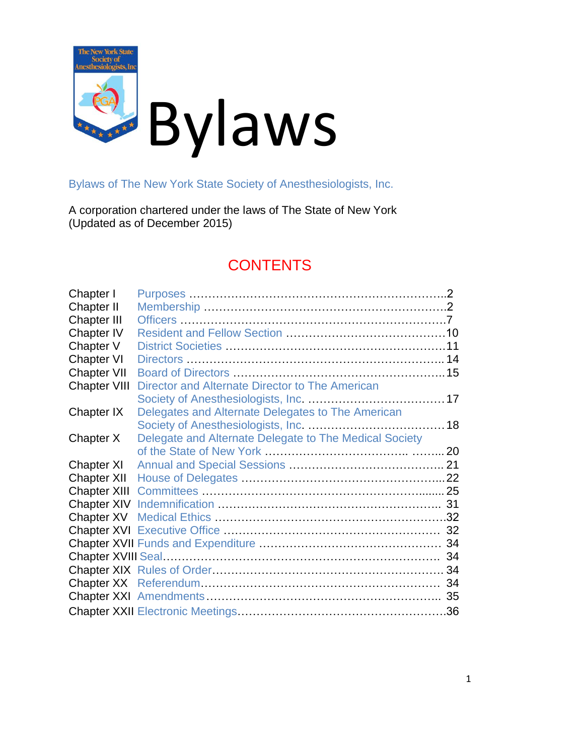

Bylaws of The New York State Society of Anesthesiologists, Inc.

A corporation chartered under the laws of The State of New York (Updated as of December 2015)

### **CONTENTS**

| Chapter I           |                                                        |    |
|---------------------|--------------------------------------------------------|----|
| <b>Chapter II</b>   |                                                        |    |
| <b>Chapter III</b>  |                                                        |    |
| <b>Chapter IV</b>   |                                                        |    |
| Chapter V           |                                                        |    |
| Chapter VI          |                                                        |    |
| <b>Chapter VII</b>  |                                                        |    |
| <b>Chapter VIII</b> | Director and Alternate Director to The American        |    |
|                     |                                                        |    |
| Chapter IX          | Delegates and Alternate Delegates to The American      |    |
|                     |                                                        |    |
| Chapter X           | Delegate and Alternate Delegate to The Medical Society |    |
|                     |                                                        |    |
| Chapter XI          |                                                        |    |
| Chapter XII         |                                                        |    |
|                     |                                                        |    |
|                     |                                                        |    |
|                     |                                                        |    |
|                     |                                                        |    |
|                     |                                                        | 34 |
|                     |                                                        | 34 |
|                     |                                                        |    |
|                     |                                                        | 34 |
|                     |                                                        |    |
|                     |                                                        |    |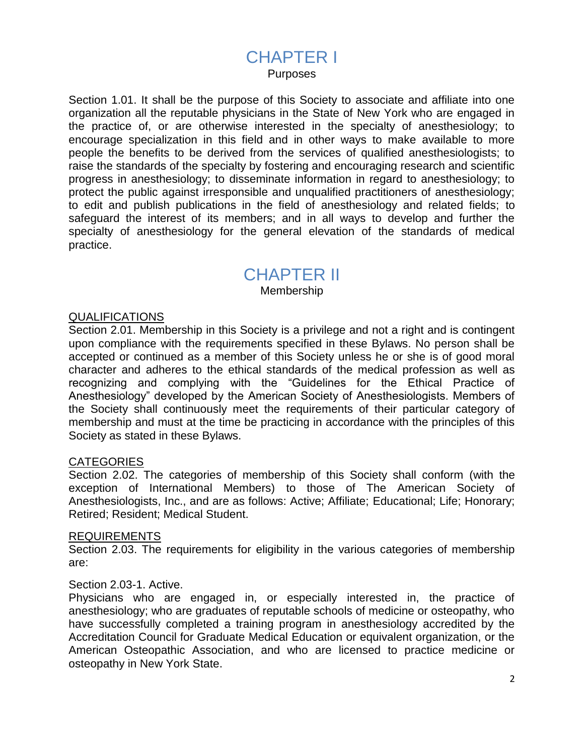### CHAPTER I

Purposes

Section 1.01. It shall be the purpose of this Society to associate and affiliate into one organization all the reputable physicians in the State of New York who are engaged in the practice of, or are otherwise interested in the specialty of anesthesiology; to encourage specialization in this field and in other ways to make available to more people the benefits to be derived from the services of qualified anesthesiologists; to raise the standards of the specialty by fostering and encouraging research and scientific progress in anesthesiology; to disseminate information in regard to anesthesiology; to protect the public against irresponsible and unqualified practitioners of anesthesiology; to edit and publish publications in the field of anesthesiology and related fields; to safeguard the interest of its members; and in all ways to develop and further the specialty of anesthesiology for the general elevation of the standards of medical practice.

### CHAPTER II

Membership

#### **QUALIFICATIONS**

Section 2.01. Membership in this Society is a privilege and not a right and is contingent upon compliance with the requirements specified in these Bylaws. No person shall be accepted or continued as a member of this Society unless he or she is of good moral character and adheres to the ethical standards of the medical profession as well as recognizing and complying with the "Guidelines for the Ethical Practice of Anesthesiology" developed by the American Society of Anesthesiologists. Members of the Society shall continuously meet the requirements of their particular category of membership and must at the time be practicing in accordance with the principles of this Society as stated in these Bylaws.

#### **CATEGORIES**

Section 2.02. The categories of membership of this Society shall conform (with the exception of International Members) to those of The American Society of Anesthesiologists, Inc., and are as follows: Active; Affiliate; Educational; Life; Honorary; Retired; Resident; Medical Student.

#### REQUIREMENTS

Section 2.03. The requirements for eligibility in the various categories of membership are:

#### Section 2.03-1. Active.

Physicians who are engaged in, or especially interested in, the practice of anesthesiology; who are graduates of reputable schools of medicine or osteopathy, who have successfully completed a training program in anesthesiology accredited by the Accreditation Council for Graduate Medical Education or equivalent organization, or the American Osteopathic Association, and who are licensed to practice medicine or osteopathy in New York State.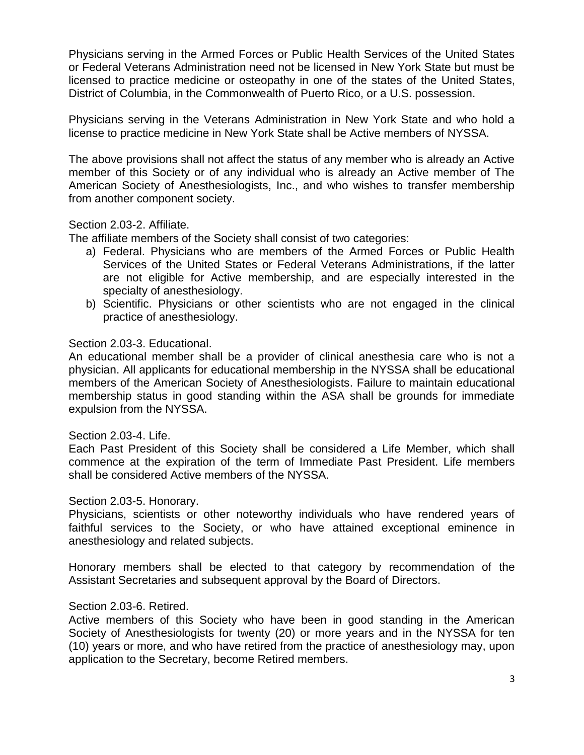Physicians serving in the Armed Forces or Public Health Services of the United States or Federal Veterans Administration need not be licensed in New York State but must be licensed to practice medicine or osteopathy in one of the states of the United States, District of Columbia, in the Commonwealth of Puerto Rico, or a U.S. possession.

Physicians serving in the Veterans Administration in New York State and who hold a license to practice medicine in New York State shall be Active members of NYSSA.

The above provisions shall not affect the status of any member who is already an Active member of this Society or of any individual who is already an Active member of The American Society of Anesthesiologists, Inc., and who wishes to transfer membership from another component society.

#### Section 2.03-2. Affiliate.

The affiliate members of the Society shall consist of two categories:

- a) Federal. Physicians who are members of the Armed Forces or Public Health Services of the United States or Federal Veterans Administrations, if the latter are not eligible for Active membership, and are especially interested in the specialty of anesthesiology.
- b) Scientific. Physicians or other scientists who are not engaged in the clinical practice of anesthesiology.

#### Section 2.03-3. Educational.

An educational member shall be a provider of clinical anesthesia care who is not a physician. All applicants for educational membership in the NYSSA shall be educational members of the American Society of Anesthesiologists. Failure to maintain educational membership status in good standing within the ASA shall be grounds for immediate expulsion from the NYSSA.

#### Section 2.03-4. Life.

Each Past President of this Society shall be considered a Life Member, which shall commence at the expiration of the term of Immediate Past President. Life members shall be considered Active members of the NYSSA.

#### Section 2.03-5. Honorary.

Physicians, scientists or other noteworthy individuals who have rendered years of faithful services to the Society, or who have attained exceptional eminence in anesthesiology and related subjects.

Honorary members shall be elected to that category by recommendation of the Assistant Secretaries and subsequent approval by the Board of Directors.

#### Section 2.03-6. Retired.

Active members of this Society who have been in good standing in the American Society of Anesthesiologists for twenty (20) or more years and in the NYSSA for ten (10) years or more, and who have retired from the practice of anesthesiology may, upon application to the Secretary, become Retired members.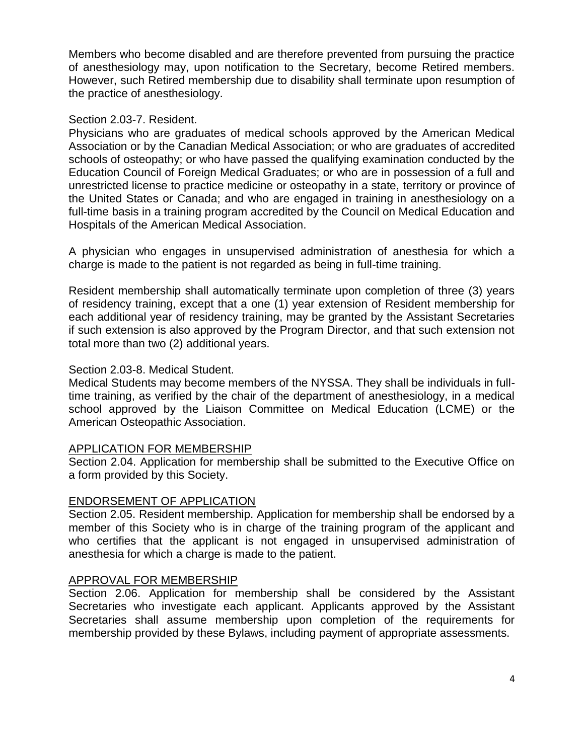Members who become disabled and are therefore prevented from pursuing the practice of anesthesiology may, upon notification to the Secretary, become Retired members. However, such Retired membership due to disability shall terminate upon resumption of the practice of anesthesiology.

#### Section 2.03-7. Resident.

Physicians who are graduates of medical schools approved by the American Medical Association or by the Canadian Medical Association; or who are graduates of accredited schools of osteopathy; or who have passed the qualifying examination conducted by the Education Council of Foreign Medical Graduates; or who are in possession of a full and unrestricted license to practice medicine or osteopathy in a state, territory or province of the United States or Canada; and who are engaged in training in anesthesiology on a full-time basis in a training program accredited by the Council on Medical Education and Hospitals of the American Medical Association.

A physician who engages in unsupervised administration of anesthesia for which a charge is made to the patient is not regarded as being in full-time training.

Resident membership shall automatically terminate upon completion of three (3) years of residency training, except that a one (1) year extension of Resident membership for each additional year of residency training, may be granted by the Assistant Secretaries if such extension is also approved by the Program Director, and that such extension not total more than two (2) additional years.

#### Section 2.03-8. Medical Student.

Medical Students may become members of the NYSSA. They shall be individuals in fulltime training, as verified by the chair of the department of anesthesiology, in a medical school approved by the Liaison Committee on Medical Education (LCME) or the American Osteopathic Association.

#### APPLICATION FOR MEMBERSHIP

Section 2.04. Application for membership shall be submitted to the Executive Office on a form provided by this Society.

#### ENDORSEMENT OF APPLICATION

Section 2.05. Resident membership. Application for membership shall be endorsed by a member of this Society who is in charge of the training program of the applicant and who certifies that the applicant is not engaged in unsupervised administration of anesthesia for which a charge is made to the patient.

#### APPROVAL FOR MEMBERSHIP

Section 2.06. Application for membership shall be considered by the Assistant Secretaries who investigate each applicant. Applicants approved by the Assistant Secretaries shall assume membership upon completion of the requirements for membership provided by these Bylaws, including payment of appropriate assessments.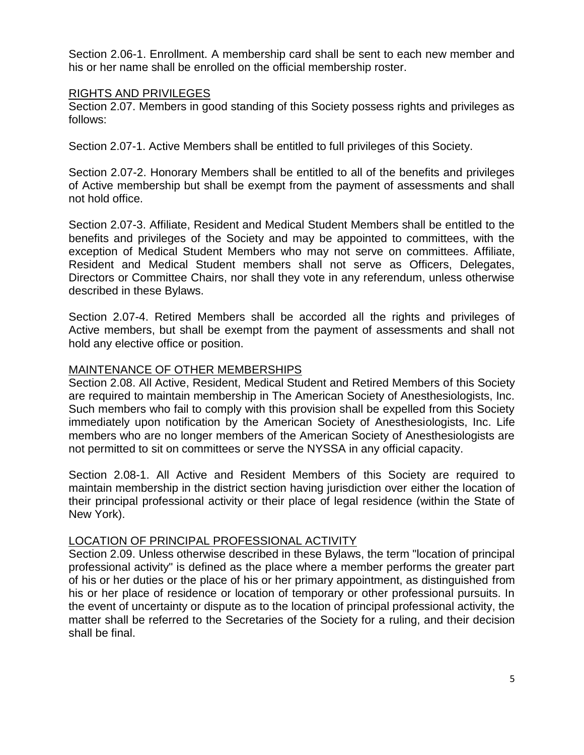Section 2.06-1. Enrollment. A membership card shall be sent to each new member and his or her name shall be enrolled on the official membership roster.

#### RIGHTS AND PRIVILEGES

Section 2.07. Members in good standing of this Society possess rights and privileges as follows:

Section 2.07-1. Active Members shall be entitled to full privileges of this Society.

Section 2.07-2. Honorary Members shall be entitled to all of the benefits and privileges of Active membership but shall be exempt from the payment of assessments and shall not hold office.

Section 2.07-3. Affiliate, Resident and Medical Student Members shall be entitled to the benefits and privileges of the Society and may be appointed to committees, with the exception of Medical Student Members who may not serve on committees. Affiliate, Resident and Medical Student members shall not serve as Officers, Delegates, Directors or Committee Chairs, nor shall they vote in any referendum, unless otherwise described in these Bylaws.

Section 2.07-4. Retired Members shall be accorded all the rights and privileges of Active members, but shall be exempt from the payment of assessments and shall not hold any elective office or position.

#### MAINTENANCE OF OTHER MEMBERSHIPS

Section 2.08. All Active, Resident, Medical Student and Retired Members of this Society are required to maintain membership in The American Society of Anesthesiologists, Inc. Such members who fail to comply with this provision shall be expelled from this Society immediately upon notification by the American Society of Anesthesiologists, Inc. Life members who are no longer members of the American Society of Anesthesiologists are not permitted to sit on committees or serve the NYSSA in any official capacity.

Section 2.08-1. All Active and Resident Members of this Society are required to maintain membership in the district section having jurisdiction over either the location of their principal professional activity or their place of legal residence (within the State of New York).

#### LOCATION OF PRINCIPAL PROFESSIONAL ACTIVITY

Section 2.09. Unless otherwise described in these Bylaws, the term "location of principal professional activity" is defined as the place where a member performs the greater part of his or her duties or the place of his or her primary appointment, as distinguished from his or her place of residence or location of temporary or other professional pursuits. In the event of uncertainty or dispute as to the location of principal professional activity, the matter shall be referred to the Secretaries of the Society for a ruling, and their decision shall be final.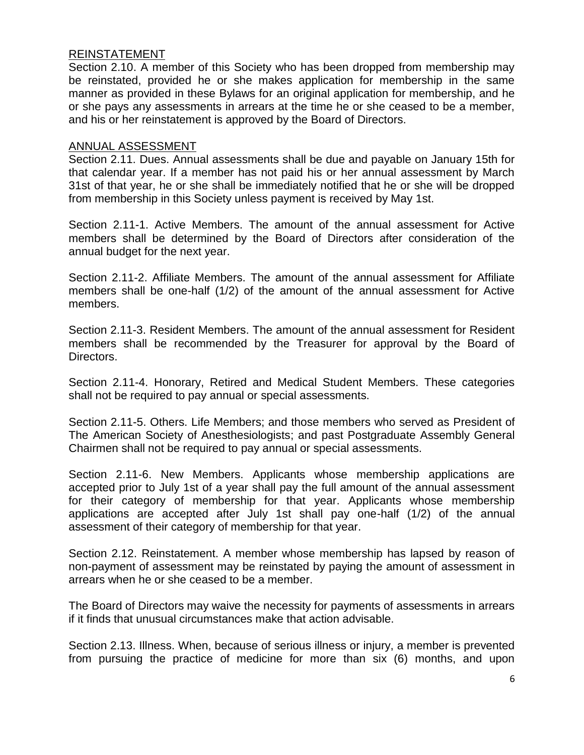#### REINSTATEMENT

Section 2.10. A member of this Society who has been dropped from membership may be reinstated, provided he or she makes application for membership in the same manner as provided in these Bylaws for an original application for membership, and he or she pays any assessments in arrears at the time he or she ceased to be a member, and his or her reinstatement is approved by the Board of Directors.

#### ANNUAL ASSESSMENT

Section 2.11. Dues. Annual assessments shall be due and payable on January 15th for that calendar year. If a member has not paid his or her annual assessment by March 31st of that year, he or she shall be immediately notified that he or she will be dropped from membership in this Society unless payment is received by May 1st.

Section 2.11-1. Active Members. The amount of the annual assessment for Active members shall be determined by the Board of Directors after consideration of the annual budget for the next year.

Section 2.11-2. Affiliate Members. The amount of the annual assessment for Affiliate members shall be one-half (1/2) of the amount of the annual assessment for Active members.

Section 2.11-3. Resident Members. The amount of the annual assessment for Resident members shall be recommended by the Treasurer for approval by the Board of Directors.

Section 2.11-4. Honorary, Retired and Medical Student Members. These categories shall not be required to pay annual or special assessments.

Section 2.11-5. Others. Life Members; and those members who served as President of The American Society of Anesthesiologists; and past Postgraduate Assembly General Chairmen shall not be required to pay annual or special assessments.

Section 2.11-6. New Members. Applicants whose membership applications are accepted prior to July 1st of a year shall pay the full amount of the annual assessment for their category of membership for that year. Applicants whose membership applications are accepted after July 1st shall pay one-half (1/2) of the annual assessment of their category of membership for that year.

Section 2.12. Reinstatement. A member whose membership has lapsed by reason of non-payment of assessment may be reinstated by paying the amount of assessment in arrears when he or she ceased to be a member.

The Board of Directors may waive the necessity for payments of assessments in arrears if it finds that unusual circumstances make that action advisable.

Section 2.13. Illness. When, because of serious illness or injury, a member is prevented from pursuing the practice of medicine for more than six (6) months, and upon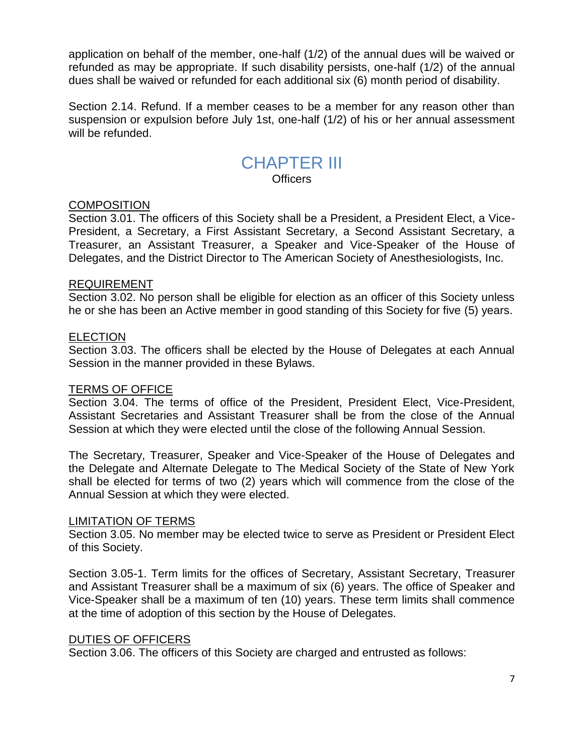application on behalf of the member, one-half (1/2) of the annual dues will be waived or refunded as may be appropriate. If such disability persists, one-half (1/2) of the annual dues shall be waived or refunded for each additional six (6) month period of disability.

Section 2.14. Refund. If a member ceases to be a member for any reason other than suspension or expulsion before July 1st, one-half (1/2) of his or her annual assessment will be refunded.

# CHAPTER III

**Officers** 

#### **COMPOSITION**

Section 3.01. The officers of this Society shall be a President, a President Elect, a Vice-President, a Secretary, a First Assistant Secretary, a Second Assistant Secretary, a Treasurer, an Assistant Treasurer, a Speaker and Vice-Speaker of the House of Delegates, and the District Director to The American Society of Anesthesiologists, Inc.

#### REQUIREMENT

Section 3.02. No person shall be eligible for election as an officer of this Society unless he or she has been an Active member in good standing of this Society for five (5) years.

#### ELECTION

Section 3.03. The officers shall be elected by the House of Delegates at each Annual Session in the manner provided in these Bylaws.

#### TERMS OF OFFICE

Section 3.04. The terms of office of the President, President Elect, Vice-President, Assistant Secretaries and Assistant Treasurer shall be from the close of the Annual Session at which they were elected until the close of the following Annual Session.

The Secretary, Treasurer, Speaker and Vice-Speaker of the House of Delegates and the Delegate and Alternate Delegate to The Medical Society of the State of New York shall be elected for terms of two (2) years which will commence from the close of the Annual Session at which they were elected.

#### LIMITATION OF TERMS

Section 3.05. No member may be elected twice to serve as President or President Elect of this Society.

Section 3.05-1. Term limits for the offices of Secretary, Assistant Secretary, Treasurer and Assistant Treasurer shall be a maximum of six (6) years. The office of Speaker and Vice-Speaker shall be a maximum of ten (10) years. These term limits shall commence at the time of adoption of this section by the House of Delegates.

#### DUTIES OF OFFICERS

Section 3.06. The officers of this Society are charged and entrusted as follows: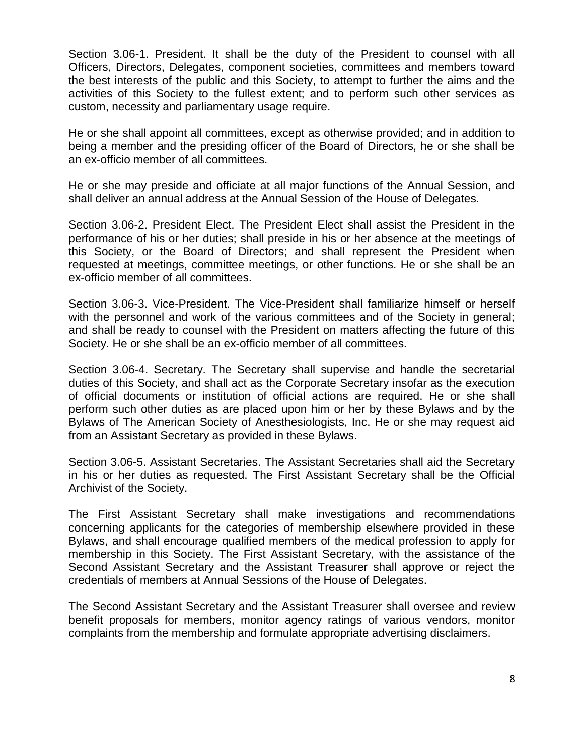Section 3.06-1. President. It shall be the duty of the President to counsel with all Officers, Directors, Delegates, component societies, committees and members toward the best interests of the public and this Society, to attempt to further the aims and the activities of this Society to the fullest extent; and to perform such other services as custom, necessity and parliamentary usage require.

He or she shall appoint all committees, except as otherwise provided; and in addition to being a member and the presiding officer of the Board of Directors, he or she shall be an ex-officio member of all committees.

He or she may preside and officiate at all major functions of the Annual Session, and shall deliver an annual address at the Annual Session of the House of Delegates.

Section 3.06-2. President Elect. The President Elect shall assist the President in the performance of his or her duties; shall preside in his or her absence at the meetings of this Society, or the Board of Directors; and shall represent the President when requested at meetings, committee meetings, or other functions. He or she shall be an ex-officio member of all committees.

Section 3.06-3. Vice-President. The Vice-President shall familiarize himself or herself with the personnel and work of the various committees and of the Society in general; and shall be ready to counsel with the President on matters affecting the future of this Society. He or she shall be an ex-officio member of all committees.

Section 3.06-4. Secretary. The Secretary shall supervise and handle the secretarial duties of this Society, and shall act as the Corporate Secretary insofar as the execution of official documents or institution of official actions are required. He or she shall perform such other duties as are placed upon him or her by these Bylaws and by the Bylaws of The American Society of Anesthesiologists, Inc. He or she may request aid from an Assistant Secretary as provided in these Bylaws.

Section 3.06-5. Assistant Secretaries. The Assistant Secretaries shall aid the Secretary in his or her duties as requested. The First Assistant Secretary shall be the Official Archivist of the Society.

The First Assistant Secretary shall make investigations and recommendations concerning applicants for the categories of membership elsewhere provided in these Bylaws, and shall encourage qualified members of the medical profession to apply for membership in this Society. The First Assistant Secretary, with the assistance of the Second Assistant Secretary and the Assistant Treasurer shall approve or reject the credentials of members at Annual Sessions of the House of Delegates.

The Second Assistant Secretary and the Assistant Treasurer shall oversee and review benefit proposals for members, monitor agency ratings of various vendors, monitor complaints from the membership and formulate appropriate advertising disclaimers.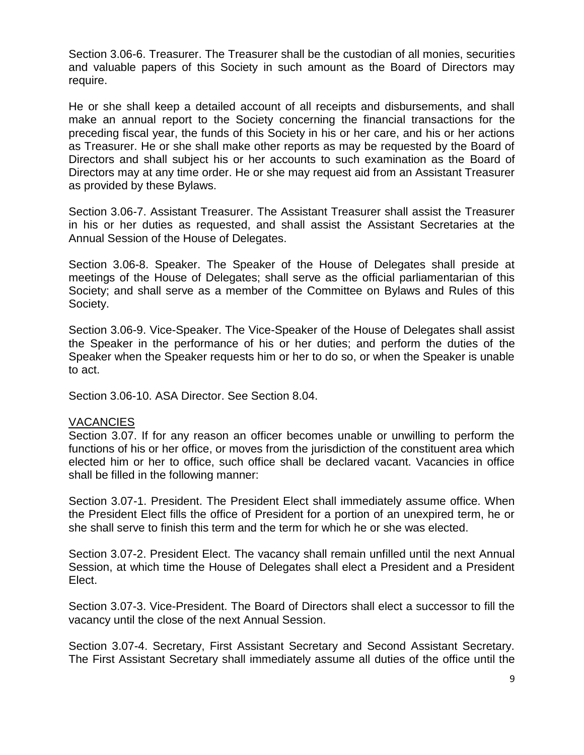Section 3.06-6. Treasurer. The Treasurer shall be the custodian of all monies, securities and valuable papers of this Society in such amount as the Board of Directors may require.

He or she shall keep a detailed account of all receipts and disbursements, and shall make an annual report to the Society concerning the financial transactions for the preceding fiscal year, the funds of this Society in his or her care, and his or her actions as Treasurer. He or she shall make other reports as may be requested by the Board of Directors and shall subject his or her accounts to such examination as the Board of Directors may at any time order. He or she may request aid from an Assistant Treasurer as provided by these Bylaws.

Section 3.06-7. Assistant Treasurer. The Assistant Treasurer shall assist the Treasurer in his or her duties as requested, and shall assist the Assistant Secretaries at the Annual Session of the House of Delegates.

Section 3.06-8. Speaker. The Speaker of the House of Delegates shall preside at meetings of the House of Delegates; shall serve as the official parliamentarian of this Society; and shall serve as a member of the Committee on Bylaws and Rules of this Society.

Section 3.06-9. Vice-Speaker. The Vice-Speaker of the House of Delegates shall assist the Speaker in the performance of his or her duties; and perform the duties of the Speaker when the Speaker requests him or her to do so, or when the Speaker is unable to act.

Section 3.06-10. ASA Director. See Section 8.04.

#### VACANCIES

Section 3.07. If for any reason an officer becomes unable or unwilling to perform the functions of his or her office, or moves from the jurisdiction of the constituent area which elected him or her to office, such office shall be declared vacant. Vacancies in office shall be filled in the following manner:

Section 3.07-1. President. The President Elect shall immediately assume office. When the President Elect fills the office of President for a portion of an unexpired term, he or she shall serve to finish this term and the term for which he or she was elected.

Section 3.07-2. President Elect. The vacancy shall remain unfilled until the next Annual Session, at which time the House of Delegates shall elect a President and a President Elect.

Section 3.07-3. Vice-President. The Board of Directors shall elect a successor to fill the vacancy until the close of the next Annual Session.

Section 3.07-4. Secretary, First Assistant Secretary and Second Assistant Secretary. The First Assistant Secretary shall immediately assume all duties of the office until the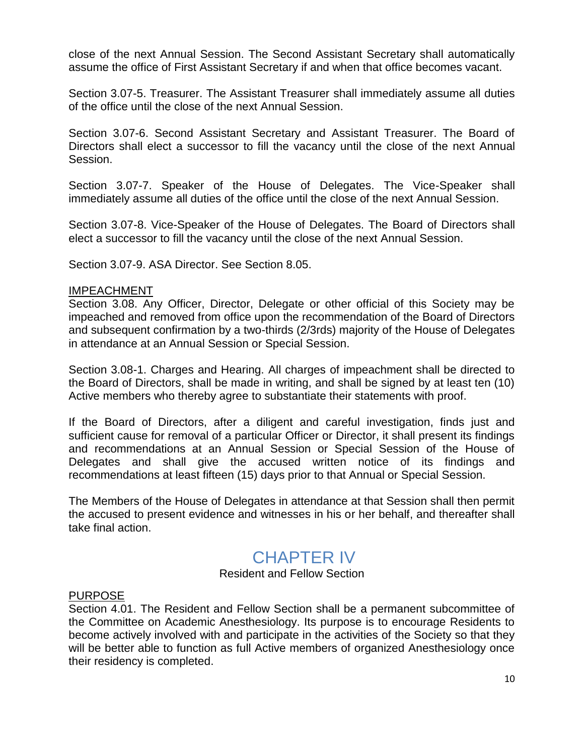close of the next Annual Session. The Second Assistant Secretary shall automatically assume the office of First Assistant Secretary if and when that office becomes vacant.

Section 3.07-5. Treasurer. The Assistant Treasurer shall immediately assume all duties of the office until the close of the next Annual Session.

Section 3.07-6. Second Assistant Secretary and Assistant Treasurer. The Board of Directors shall elect a successor to fill the vacancy until the close of the next Annual Session.

Section 3.07-7. Speaker of the House of Delegates. The Vice-Speaker shall immediately assume all duties of the office until the close of the next Annual Session.

Section 3.07-8. Vice-Speaker of the House of Delegates. The Board of Directors shall elect a successor to fill the vacancy until the close of the next Annual Session.

Section 3.07-9. ASA Director. See Section 8.05.

#### IMPEACHMENT

Section 3.08. Any Officer, Director, Delegate or other official of this Society may be impeached and removed from office upon the recommendation of the Board of Directors and subsequent confirmation by a two-thirds (2/3rds) majority of the House of Delegates in attendance at an Annual Session or Special Session.

Section 3.08-1. Charges and Hearing. All charges of impeachment shall be directed to the Board of Directors, shall be made in writing, and shall be signed by at least ten (10) Active members who thereby agree to substantiate their statements with proof.

If the Board of Directors, after a diligent and careful investigation, finds just and sufficient cause for removal of a particular Officer or Director, it shall present its findings and recommendations at an Annual Session or Special Session of the House of Delegates and shall give the accused written notice of its findings and recommendations at least fifteen (15) days prior to that Annual or Special Session.

The Members of the House of Delegates in attendance at that Session shall then permit the accused to present evidence and witnesses in his or her behalf, and thereafter shall take final action.

### CHAPTER IV

#### Resident and Fellow Section

#### PURPOSE

Section 4.01. The Resident and Fellow Section shall be a permanent subcommittee of the Committee on Academic Anesthesiology. Its purpose is to encourage Residents to become actively involved with and participate in the activities of the Society so that they will be better able to function as full Active members of organized Anesthesiology once their residency is completed.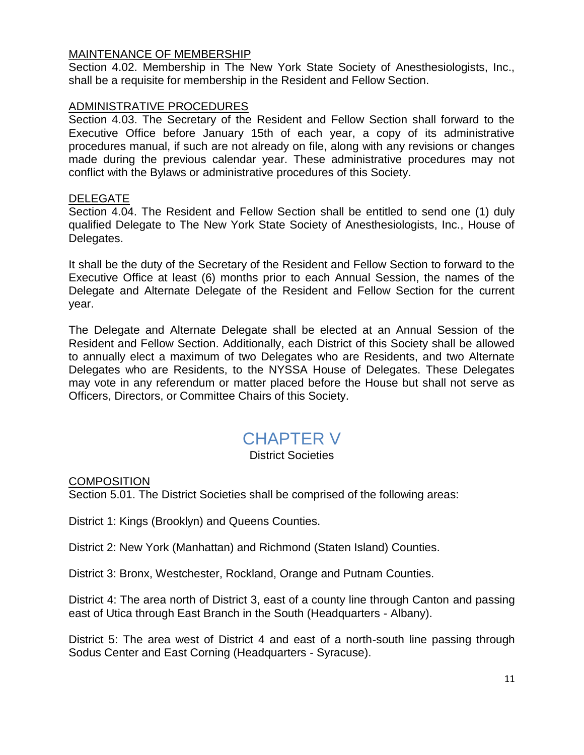#### MAINTENANCE OF MEMBERSHIP

Section 4.02. Membership in The New York State Society of Anesthesiologists, Inc., shall be a requisite for membership in the Resident and Fellow Section.

#### ADMINISTRATIVE PROCEDURES

Section 4.03. The Secretary of the Resident and Fellow Section shall forward to the Executive Office before January 15th of each year, a copy of its administrative procedures manual, if such are not already on file, along with any revisions or changes made during the previous calendar year. These administrative procedures may not conflict with the Bylaws or administrative procedures of this Society.

#### DELEGATE

Section 4.04. The Resident and Fellow Section shall be entitled to send one (1) duly qualified Delegate to The New York State Society of Anesthesiologists, Inc., House of Delegates.

It shall be the duty of the Secretary of the Resident and Fellow Section to forward to the Executive Office at least (6) months prior to each Annual Session, the names of the Delegate and Alternate Delegate of the Resident and Fellow Section for the current year.

The Delegate and Alternate Delegate shall be elected at an Annual Session of the Resident and Fellow Section. Additionally, each District of this Society shall be allowed to annually elect a maximum of two Delegates who are Residents, and two Alternate Delegates who are Residents, to the NYSSA House of Delegates. These Delegates may vote in any referendum or matter placed before the House but shall not serve as Officers, Directors, or Committee Chairs of this Society.

### CHAPTER V

#### District Societies

**COMPOSITION** 

Section 5.01. The District Societies shall be comprised of the following areas:

District 1: Kings (Brooklyn) and Queens Counties.

District 2: New York (Manhattan) and Richmond (Staten Island) Counties.

District 3: Bronx, Westchester, Rockland, Orange and Putnam Counties.

District 4: The area north of District 3, east of a county line through Canton and passing east of Utica through East Branch in the South (Headquarters - Albany).

District 5: The area west of District 4 and east of a north-south line passing through Sodus Center and East Corning (Headquarters - Syracuse).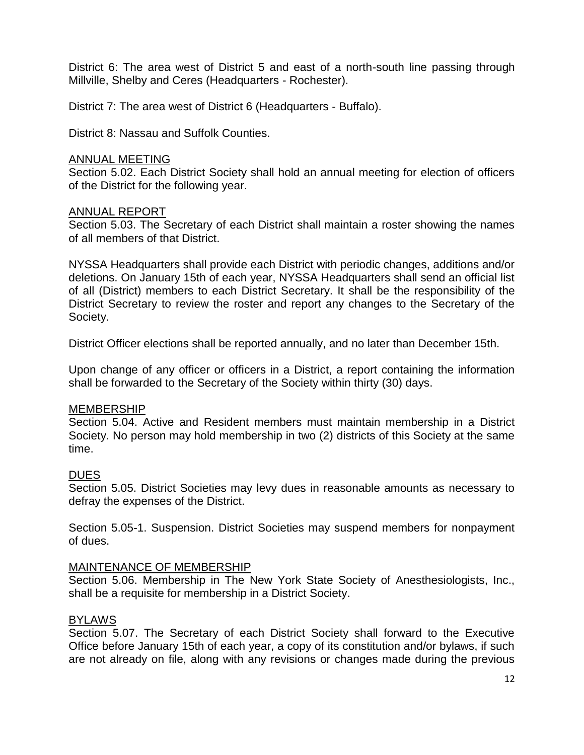District 6: The area west of District 5 and east of a north-south line passing through Millville, Shelby and Ceres (Headquarters - Rochester).

District 7: The area west of District 6 (Headquarters - Buffalo).

District 8: Nassau and Suffolk Counties.

#### ANNUAL MEETING

Section 5.02. Each District Society shall hold an annual meeting for election of officers of the District for the following year.

#### ANNUAL REPORT

Section 5.03. The Secretary of each District shall maintain a roster showing the names of all members of that District.

NYSSA Headquarters shall provide each District with periodic changes, additions and/or deletions. On January 15th of each year, NYSSA Headquarters shall send an official list of all (District) members to each District Secretary. It shall be the responsibility of the District Secretary to review the roster and report any changes to the Secretary of the Society.

District Officer elections shall be reported annually, and no later than December 15th.

Upon change of any officer or officers in a District, a report containing the information shall be forwarded to the Secretary of the Society within thirty (30) days.

#### MEMBERSHIP

Section 5.04. Active and Resident members must maintain membership in a District Society. No person may hold membership in two (2) districts of this Society at the same time.

#### **DUES**

Section 5.05. District Societies may levy dues in reasonable amounts as necessary to defray the expenses of the District.

Section 5.05-1. Suspension. District Societies may suspend members for nonpayment of dues.

#### MAINTENANCE OF MEMBERSHIP

Section 5.06. Membership in The New York State Society of Anesthesiologists, Inc., shall be a requisite for membership in a District Society.

#### BYLAWS

Section 5.07. The Secretary of each District Society shall forward to the Executive Office before January 15th of each year, a copy of its constitution and/or bylaws, if such are not already on file, along with any revisions or changes made during the previous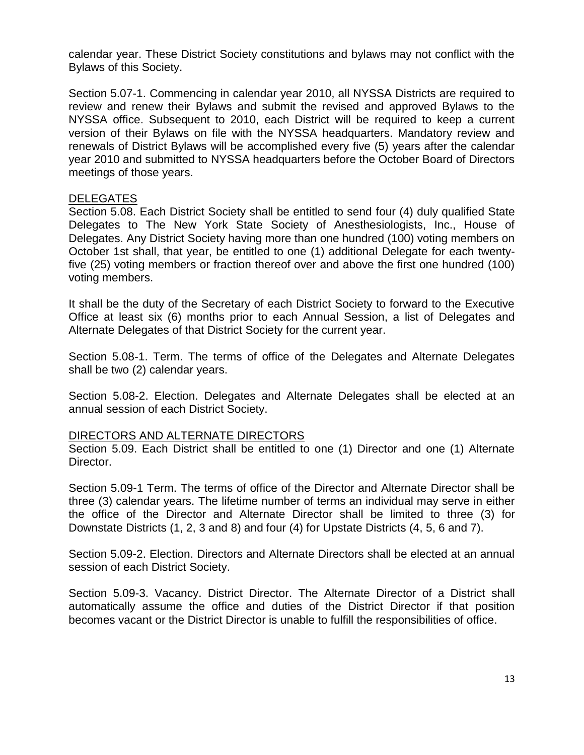calendar year. These District Society constitutions and bylaws may not conflict with the Bylaws of this Society.

Section 5.07-1. Commencing in calendar year 2010, all NYSSA Districts are required to review and renew their Bylaws and submit the revised and approved Bylaws to the NYSSA office. Subsequent to 2010, each District will be required to keep a current version of their Bylaws on file with the NYSSA headquarters. Mandatory review and renewals of District Bylaws will be accomplished every five (5) years after the calendar year 2010 and submitted to NYSSA headquarters before the October Board of Directors meetings of those years.

#### DELEGATES

Section 5.08. Each District Society shall be entitled to send four (4) duly qualified State Delegates to The New York State Society of Anesthesiologists, Inc., House of Delegates. Any District Society having more than one hundred (100) voting members on October 1st shall, that year, be entitled to one (1) additional Delegate for each twentyfive (25) voting members or fraction thereof over and above the first one hundred (100) voting members.

It shall be the duty of the Secretary of each District Society to forward to the Executive Office at least six (6) months prior to each Annual Session, a list of Delegates and Alternate Delegates of that District Society for the current year.

Section 5.08-1. Term. The terms of office of the Delegates and Alternate Delegates shall be two (2) calendar years.

Section 5.08-2. Election. Delegates and Alternate Delegates shall be elected at an annual session of each District Society.

#### DIRECTORS AND ALTERNATE DIRECTORS

Section 5.09. Each District shall be entitled to one (1) Director and one (1) Alternate Director.

Section 5.09-1 Term. The terms of office of the Director and Alternate Director shall be three (3) calendar years. The lifetime number of terms an individual may serve in either the office of the Director and Alternate Director shall be limited to three (3) for Downstate Districts (1, 2, 3 and 8) and four (4) for Upstate Districts (4, 5, 6 and 7).

Section 5.09-2. Election. Directors and Alternate Directors shall be elected at an annual session of each District Society.

Section 5.09-3. Vacancy. District Director. The Alternate Director of a District shall automatically assume the office and duties of the District Director if that position becomes vacant or the District Director is unable to fulfill the responsibilities of office.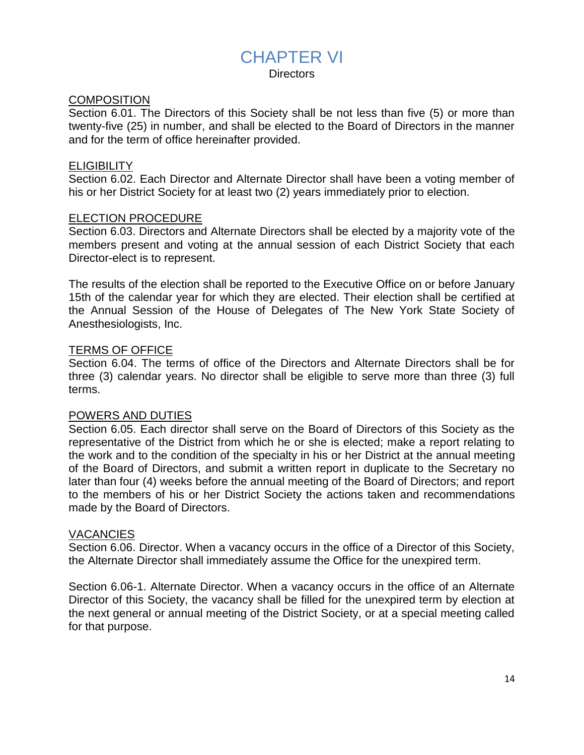### CHAPTER VI

**Directors** 

#### **COMPOSITION**

Section 6.01. The Directors of this Society shall be not less than five (5) or more than twenty-five (25) in number, and shall be elected to the Board of Directors in the manner and for the term of office hereinafter provided.

#### **ELIGIBILITY**

Section 6.02. Each Director and Alternate Director shall have been a voting member of his or her District Society for at least two (2) years immediately prior to election.

#### ELECTION PROCEDURE

Section 6.03. Directors and Alternate Directors shall be elected by a majority vote of the members present and voting at the annual session of each District Society that each Director-elect is to represent.

The results of the election shall be reported to the Executive Office on or before January 15th of the calendar year for which they are elected. Their election shall be certified at the Annual Session of the House of Delegates of The New York State Society of Anesthesiologists, Inc.

#### TERMS OF OFFICE

Section 6.04. The terms of office of the Directors and Alternate Directors shall be for three (3) calendar years. No director shall be eligible to serve more than three (3) full terms.

#### POWERS AND DUTIES

Section 6.05. Each director shall serve on the Board of Directors of this Society as the representative of the District from which he or she is elected; make a report relating to the work and to the condition of the specialty in his or her District at the annual meeting of the Board of Directors, and submit a written report in duplicate to the Secretary no later than four (4) weeks before the annual meeting of the Board of Directors; and report to the members of his or her District Society the actions taken and recommendations made by the Board of Directors.

#### VACANCIES

Section 6.06. Director. When a vacancy occurs in the office of a Director of this Society, the Alternate Director shall immediately assume the Office for the unexpired term.

Section 6.06-1. Alternate Director. When a vacancy occurs in the office of an Alternate Director of this Society, the vacancy shall be filled for the unexpired term by election at the next general or annual meeting of the District Society, or at a special meeting called for that purpose.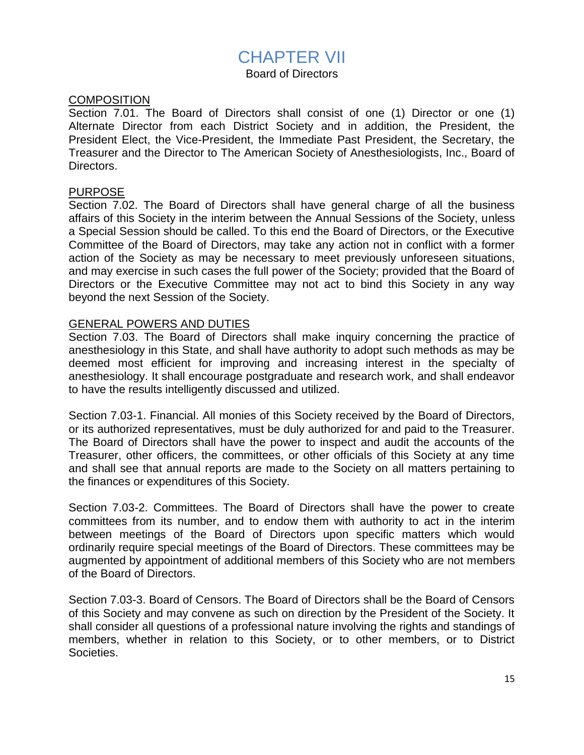### CHAPTER VII

Board of Directors

#### **COMPOSITION**

Section 7.01. The Board of Directors shall consist of one (1) Director or one (1) Alternate Director from each District Society and in addition, the President, the President Elect, the Vice-President, the Immediate Past President, the Secretary, the Treasurer and the Director to The American Society of Anesthesiologists, Inc., Board of Directors.

#### PURPOSE

Section 7.02. The Board of Directors shall have general charge of all the business affairs of this Society in the interim between the Annual Sessions of the Society, unless a Special Session should be called. To this end the Board of Directors, or the Executive Committee of the Board of Directors, may take any action not in conflict with a former action of the Society as may be necessary to meet previously unforeseen situations, and may exercise in such cases the full power of the Society; provided that the Board of Directors or the Executive Committee may not act to bind this Society in any way beyond the next Session of the Society.

#### GENERAL POWERS AND DUTIES

Section 7.03. The Board of Directors shall make inquiry concerning the practice of anesthesiology in this State, and shall have authority to adopt such methods as may be deemed most efficient for improving and increasing interest in the specialty of anesthesiology. It shall encourage postgraduate and research work, and shall endeavor to have the results intelligently discussed and utilized.

Section 7.03-1. Financial. All monies of this Society received by the Board of Directors, or its authorized representatives, must be duly authorized for and paid to the Treasurer. The Board of Directors shall have the power to inspect and audit the accounts of the Treasurer, other officers, the committees, or other officials of this Society at any time and shall see that annual reports are made to the Society on all matters pertaining to the finances or expenditures of this Society.

Section 7.03-2. Committees. The Board of Directors shall have the power to create committees from its number, and to endow them with authority to act in the interim between meetings of the Board of Directors upon specific matters which would ordinarily require special meetings of the Board of Directors. These committees may be augmented by appointment of additional members of this Society who are not members of the Board of Directors.

Section 7.03-3. Board of Censors. The Board of Directors shall be the Board of Censors of this Society and may convene as such on direction by the President of the Society. It shall consider all questions of a professional nature involving the rights and standings of members, whether in relation to this Society, or to other members, or to District Societies.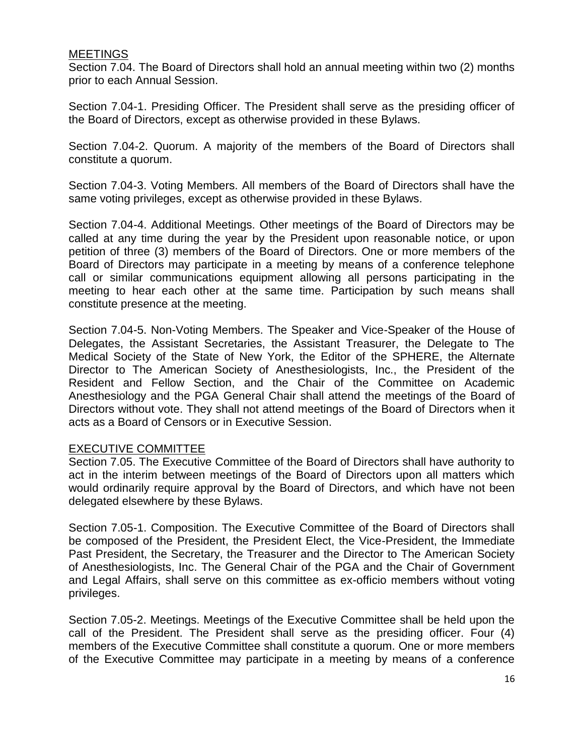#### **MEETINGS**

Section 7.04. The Board of Directors shall hold an annual meeting within two (2) months prior to each Annual Session.

Section 7.04-1. Presiding Officer. The President shall serve as the presiding officer of the Board of Directors, except as otherwise provided in these Bylaws.

Section 7.04-2. Quorum. A majority of the members of the Board of Directors shall constitute a quorum.

Section 7.04-3. Voting Members. All members of the Board of Directors shall have the same voting privileges, except as otherwise provided in these Bylaws.

Section 7.04-4. Additional Meetings. Other meetings of the Board of Directors may be called at any time during the year by the President upon reasonable notice, or upon petition of three (3) members of the Board of Directors. One or more members of the Board of Directors may participate in a meeting by means of a conference telephone call or similar communications equipment allowing all persons participating in the meeting to hear each other at the same time. Participation by such means shall constitute presence at the meeting.

Section 7.04-5. Non-Voting Members. The Speaker and Vice-Speaker of the House of Delegates, the Assistant Secretaries, the Assistant Treasurer, the Delegate to The Medical Society of the State of New York, the Editor of the SPHERE, the Alternate Director to The American Society of Anesthesiologists, Inc., the President of the Resident and Fellow Section, and the Chair of the Committee on Academic Anesthesiology and the PGA General Chair shall attend the meetings of the Board of Directors without vote. They shall not attend meetings of the Board of Directors when it acts as a Board of Censors or in Executive Session.

#### EXECUTIVE COMMITTEE

Section 7.05. The Executive Committee of the Board of Directors shall have authority to act in the interim between meetings of the Board of Directors upon all matters which would ordinarily require approval by the Board of Directors, and which have not been delegated elsewhere by these Bylaws.

Section 7.05-1. Composition. The Executive Committee of the Board of Directors shall be composed of the President, the President Elect, the Vice-President, the Immediate Past President, the Secretary, the Treasurer and the Director to The American Society of Anesthesiologists, Inc. The General Chair of the PGA and the Chair of Government and Legal Affairs, shall serve on this committee as ex-officio members without voting privileges.

Section 7.05-2. Meetings. Meetings of the Executive Committee shall be held upon the call of the President. The President shall serve as the presiding officer. Four (4) members of the Executive Committee shall constitute a quorum. One or more members of the Executive Committee may participate in a meeting by means of a conference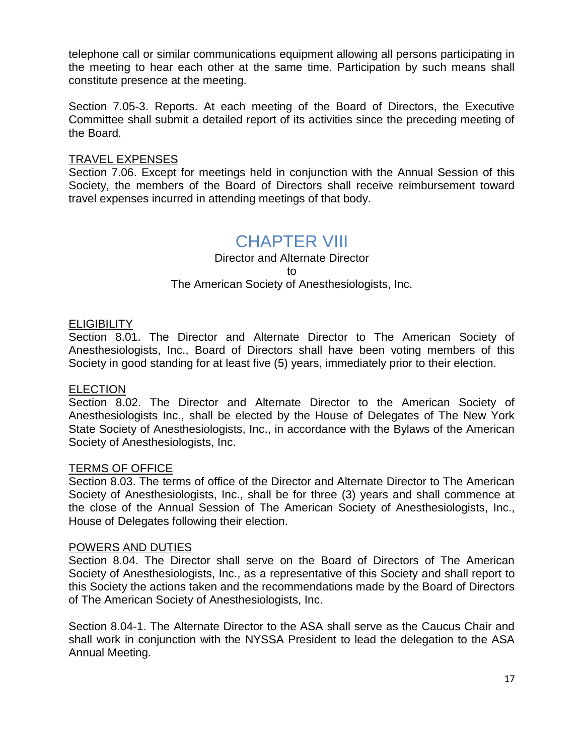telephone call or similar communications equipment allowing all persons participating in the meeting to hear each other at the same time. Participation by such means shall constitute presence at the meeting.

Section 7.05-3. Reports. At each meeting of the Board of Directors, the Executive Committee shall submit a detailed report of its activities since the preceding meeting of the Board.

#### TRAVEL EXPENSES

Section 7.06. Except for meetings held in conjunction with the Annual Session of this Society, the members of the Board of Directors shall receive reimbursement toward travel expenses incurred in attending meetings of that body.

### CHAPTER VIII

Director and Alternate Director to

#### The American Society of Anesthesiologists, Inc.

#### **ELIGIBILITY**

Section 8.01. The Director and Alternate Director to The American Society of Anesthesiologists, Inc., Board of Directors shall have been voting members of this Society in good standing for at least five (5) years, immediately prior to their election.

#### **ELECTION**

Section 8.02. The Director and Alternate Director to the American Society of Anesthesiologists Inc., shall be elected by the House of Delegates of The New York State Society of Anesthesiologists, Inc., in accordance with the Bylaws of the American Society of Anesthesiologists, Inc.

#### TERMS OF OFFICE

Section 8.03. The terms of office of the Director and Alternate Director to The American Society of Anesthesiologists, Inc., shall be for three (3) years and shall commence at the close of the Annual Session of The American Society of Anesthesiologists, Inc., House of Delegates following their election.

#### POWERS AND DUTIES

Section 8.04. The Director shall serve on the Board of Directors of The American Society of Anesthesiologists, Inc., as a representative of this Society and shall report to this Society the actions taken and the recommendations made by the Board of Directors of The American Society of Anesthesiologists, Inc.

Section 8.04-1. The Alternate Director to the ASA shall serve as the Caucus Chair and shall work in conjunction with the NYSSA President to lead the delegation to the ASA Annual Meeting.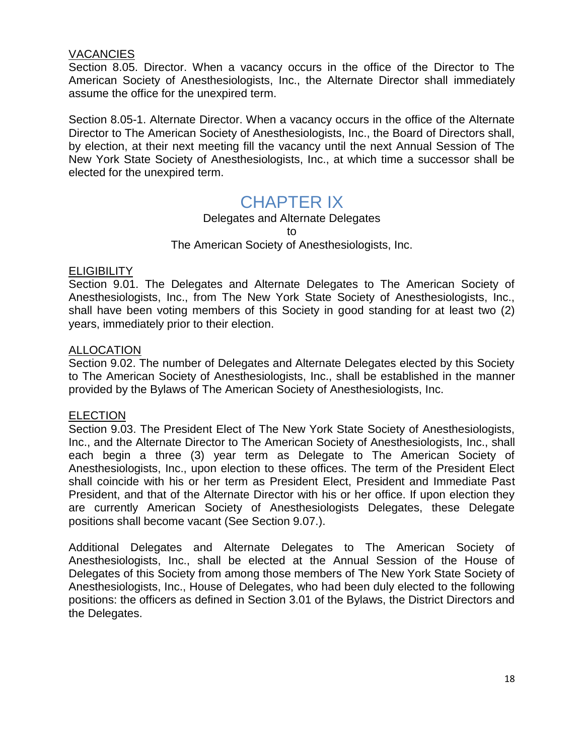#### **VACANCIES**

Section 8.05. Director. When a vacancy occurs in the office of the Director to The American Society of Anesthesiologists, Inc., the Alternate Director shall immediately assume the office for the unexpired term.

Section 8.05-1. Alternate Director. When a vacancy occurs in the office of the Alternate Director to The American Society of Anesthesiologists, Inc., the Board of Directors shall, by election, at their next meeting fill the vacancy until the next Annual Session of The New York State Society of Anesthesiologists, Inc., at which time a successor shall be elected for the unexpired term.

### CHAPTER IX

Delegates and Alternate Delegates

to

The American Society of Anesthesiologists, Inc.

#### **ELIGIBILITY**

Section 9.01. The Delegates and Alternate Delegates to The American Society of Anesthesiologists, Inc., from The New York State Society of Anesthesiologists, Inc., shall have been voting members of this Society in good standing for at least two (2) years, immediately prior to their election.

#### **ALLOCATION**

Section 9.02. The number of Delegates and Alternate Delegates elected by this Society to The American Society of Anesthesiologists, Inc., shall be established in the manner provided by the Bylaws of The American Society of Anesthesiologists, Inc.

#### ELECTION

Section 9.03. The President Elect of The New York State Society of Anesthesiologists, Inc., and the Alternate Director to The American Society of Anesthesiologists, Inc., shall each begin a three (3) year term as Delegate to The American Society of Anesthesiologists, Inc., upon election to these offices. The term of the President Elect shall coincide with his or her term as President Elect, President and Immediate Past President, and that of the Alternate Director with his or her office. If upon election they are currently American Society of Anesthesiologists Delegates, these Delegate positions shall become vacant (See Section 9.07.).

Additional Delegates and Alternate Delegates to The American Society of Anesthesiologists, Inc., shall be elected at the Annual Session of the House of Delegates of this Society from among those members of The New York State Society of Anesthesiologists, Inc., House of Delegates, who had been duly elected to the following positions: the officers as defined in Section 3.01 of the Bylaws, the District Directors and the Delegates.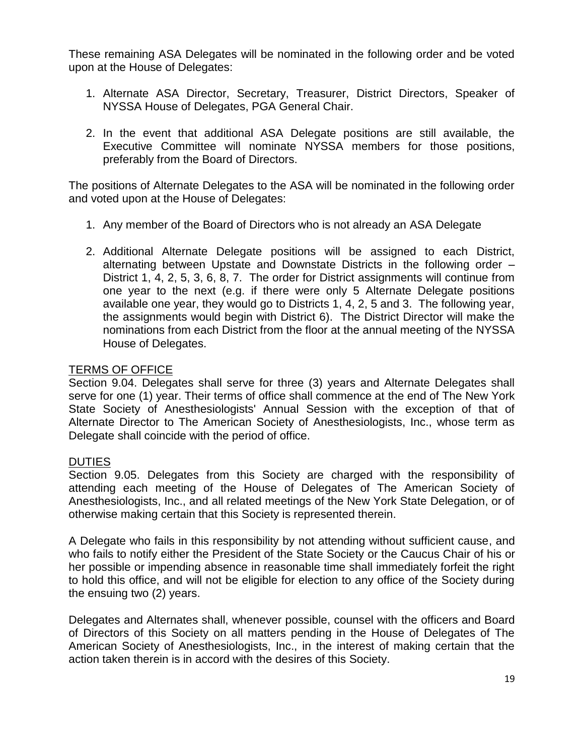These remaining ASA Delegates will be nominated in the following order and be voted upon at the House of Delegates:

- 1. Alternate ASA Director, Secretary, Treasurer, District Directors, Speaker of NYSSA House of Delegates, PGA General Chair.
- 2. In the event that additional ASA Delegate positions are still available, the Executive Committee will nominate NYSSA members for those positions, preferably from the Board of Directors.

The positions of Alternate Delegates to the ASA will be nominated in the following order and voted upon at the House of Delegates:

- 1. Any member of the Board of Directors who is not already an ASA Delegate
- 2. Additional Alternate Delegate positions will be assigned to each District, alternating between Upstate and Downstate Districts in the following order – District 1, 4, 2, 5, 3, 6, 8, 7. The order for District assignments will continue from one year to the next (e.g. if there were only 5 Alternate Delegate positions available one year, they would go to Districts 1, 4, 2, 5 and 3. The following year, the assignments would begin with District 6). The District Director will make the nominations from each District from the floor at the annual meeting of the NYSSA House of Delegates.

#### TERMS OF OFFICE

Section 9.04. Delegates shall serve for three (3) years and Alternate Delegates shall serve for one (1) year. Their terms of office shall commence at the end of The New York State Society of Anesthesiologists' Annual Session with the exception of that of Alternate Director to The American Society of Anesthesiologists, Inc., whose term as Delegate shall coincide with the period of office.

#### DUTIES

Section 9.05. Delegates from this Society are charged with the responsibility of attending each meeting of the House of Delegates of The American Society of Anesthesiologists, Inc., and all related meetings of the New York State Delegation, or of otherwise making certain that this Society is represented therein.

A Delegate who fails in this responsibility by not attending without sufficient cause, and who fails to notify either the President of the State Society or the Caucus Chair of his or her possible or impending absence in reasonable time shall immediately forfeit the right to hold this office, and will not be eligible for election to any office of the Society during the ensuing two (2) years.

Delegates and Alternates shall, whenever possible, counsel with the officers and Board of Directors of this Society on all matters pending in the House of Delegates of The American Society of Anesthesiologists, Inc., in the interest of making certain that the action taken therein is in accord with the desires of this Society.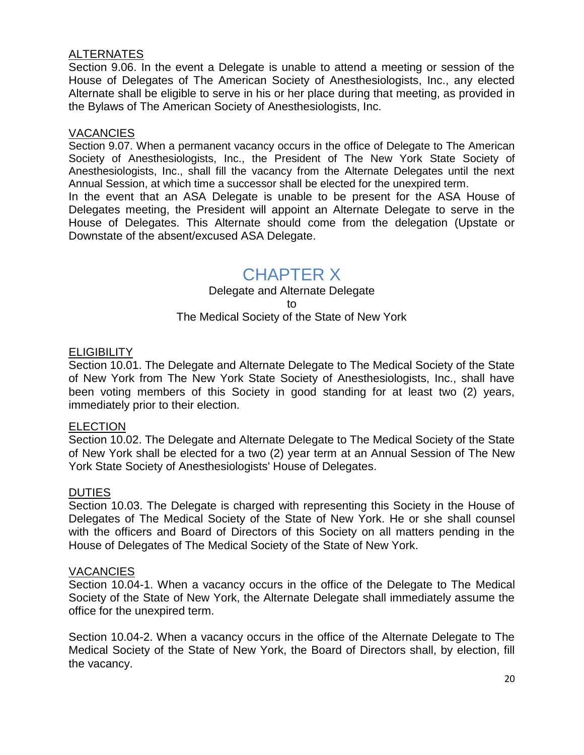#### **ALTERNATES**

Section 9.06. In the event a Delegate is unable to attend a meeting or session of the House of Delegates of The American Society of Anesthesiologists, Inc., any elected Alternate shall be eligible to serve in his or her place during that meeting, as provided in the Bylaws of The American Society of Anesthesiologists, Inc.

#### **VACANCIES**

Section 9.07. When a permanent vacancy occurs in the office of Delegate to The American Society of Anesthesiologists, Inc., the President of The New York State Society of Anesthesiologists, Inc., shall fill the vacancy from the Alternate Delegates until the next Annual Session, at which time a successor shall be elected for the unexpired term.

In the event that an ASA Delegate is unable to be present for the ASA House of Delegates meeting, the President will appoint an Alternate Delegate to serve in the House of Delegates. This Alternate should come from the delegation (Upstate or Downstate of the absent/excused ASA Delegate.

### CHAPTER X

Delegate and Alternate Delegate to The Medical Society of the State of New York

#### **ELIGIBILITY**

Section 10.01. The Delegate and Alternate Delegate to The Medical Society of the State of New York from The New York State Society of Anesthesiologists, Inc., shall have been voting members of this Society in good standing for at least two (2) years, immediately prior to their election.

#### **ELECTION**

Section 10.02. The Delegate and Alternate Delegate to The Medical Society of the State of New York shall be elected for a two (2) year term at an Annual Session of The New York State Society of Anesthesiologists' House of Delegates.

#### **DUTIES**

Section 10.03. The Delegate is charged with representing this Society in the House of Delegates of The Medical Society of the State of New York. He or she shall counsel with the officers and Board of Directors of this Society on all matters pending in the House of Delegates of The Medical Society of the State of New York.

#### **VACANCIES**

Section 10.04-1. When a vacancy occurs in the office of the Delegate to The Medical Society of the State of New York, the Alternate Delegate shall immediately assume the office for the unexpired term.

Section 10.04-2. When a vacancy occurs in the office of the Alternate Delegate to The Medical Society of the State of New York, the Board of Directors shall, by election, fill the vacancy.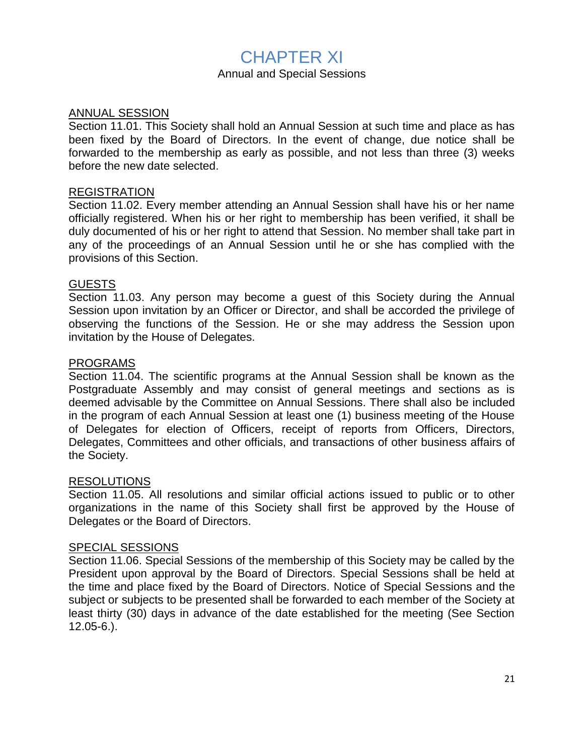### CHAPTER XI

#### Annual and Special Sessions

#### ANNUAL SESSION

Section 11.01. This Society shall hold an Annual Session at such time and place as has been fixed by the Board of Directors. In the event of change, due notice shall be forwarded to the membership as early as possible, and not less than three (3) weeks before the new date selected.

#### REGISTRATION

Section 11.02. Every member attending an Annual Session shall have his or her name officially registered. When his or her right to membership has been verified, it shall be duly documented of his or her right to attend that Session. No member shall take part in any of the proceedings of an Annual Session until he or she has complied with the provisions of this Section.

#### GUESTS

Section 11.03. Any person may become a guest of this Society during the Annual Session upon invitation by an Officer or Director, and shall be accorded the privilege of observing the functions of the Session. He or she may address the Session upon invitation by the House of Delegates.

#### PROGRAMS

Section 11.04. The scientific programs at the Annual Session shall be known as the Postgraduate Assembly and may consist of general meetings and sections as is deemed advisable by the Committee on Annual Sessions. There shall also be included in the program of each Annual Session at least one (1) business meeting of the House of Delegates for election of Officers, receipt of reports from Officers, Directors, Delegates, Committees and other officials, and transactions of other business affairs of the Society.

#### RESOLUTIONS

Section 11.05. All resolutions and similar official actions issued to public or to other organizations in the name of this Society shall first be approved by the House of Delegates or the Board of Directors.

#### SPECIAL SESSIONS

Section 11.06. Special Sessions of the membership of this Society may be called by the President upon approval by the Board of Directors. Special Sessions shall be held at the time and place fixed by the Board of Directors. Notice of Special Sessions and the subject or subjects to be presented shall be forwarded to each member of the Society at least thirty (30) days in advance of the date established for the meeting (See Section 12.05-6.).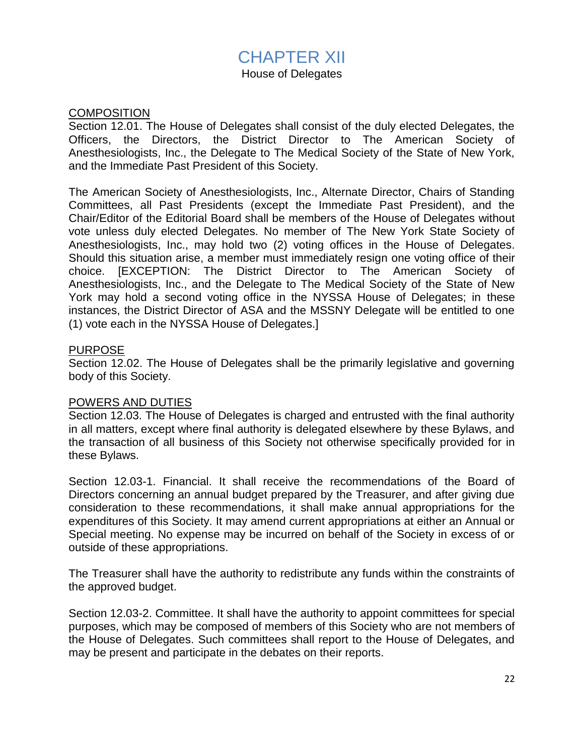### CHAPTER XII

House of Delegates

#### **COMPOSITION**

Section 12.01. The House of Delegates shall consist of the duly elected Delegates, the Officers, the Directors, the District Director to The American Society of Anesthesiologists, Inc., the Delegate to The Medical Society of the State of New York, and the Immediate Past President of this Society.

The American Society of Anesthesiologists, Inc., Alternate Director, Chairs of Standing Committees, all Past Presidents (except the Immediate Past President), and the Chair/Editor of the Editorial Board shall be members of the House of Delegates without vote unless duly elected Delegates. No member of The New York State Society of Anesthesiologists, Inc., may hold two (2) voting offices in the House of Delegates. Should this situation arise, a member must immediately resign one voting office of their choice. [EXCEPTION: The District Director to The American Society of Anesthesiologists, Inc., and the Delegate to The Medical Society of the State of New York may hold a second voting office in the NYSSA House of Delegates; in these instances, the District Director of ASA and the MSSNY Delegate will be entitled to one (1) vote each in the NYSSA House of Delegates.]

#### PURPOSE

Section 12.02. The House of Delegates shall be the primarily legislative and governing body of this Society.

#### POWERS AND DUTIES

Section 12.03. The House of Delegates is charged and entrusted with the final authority in all matters, except where final authority is delegated elsewhere by these Bylaws, and the transaction of all business of this Society not otherwise specifically provided for in these Bylaws.

Section 12.03-1. Financial. It shall receive the recommendations of the Board of Directors concerning an annual budget prepared by the Treasurer, and after giving due consideration to these recommendations, it shall make annual appropriations for the expenditures of this Society. It may amend current appropriations at either an Annual or Special meeting. No expense may be incurred on behalf of the Society in excess of or outside of these appropriations.

The Treasurer shall have the authority to redistribute any funds within the constraints of the approved budget.

Section 12.03-2. Committee. It shall have the authority to appoint committees for special purposes, which may be composed of members of this Society who are not members of the House of Delegates. Such committees shall report to the House of Delegates, and may be present and participate in the debates on their reports.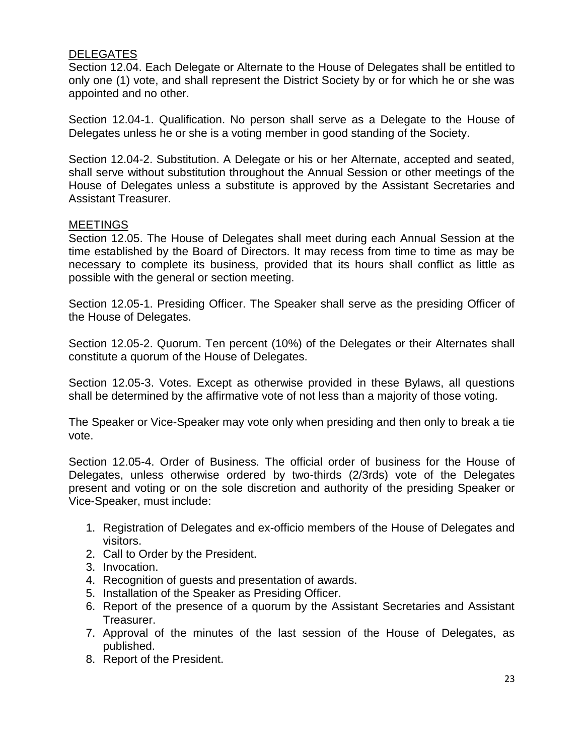#### DELEGATES

Section 12.04. Each Delegate or Alternate to the House of Delegates shall be entitled to only one (1) vote, and shall represent the District Society by or for which he or she was appointed and no other.

Section 12.04-1. Qualification. No person shall serve as a Delegate to the House of Delegates unless he or she is a voting member in good standing of the Society.

Section 12.04-2. Substitution. A Delegate or his or her Alternate, accepted and seated, shall serve without substitution throughout the Annual Session or other meetings of the House of Delegates unless a substitute is approved by the Assistant Secretaries and Assistant Treasurer.

#### MEETINGS

Section 12.05. The House of Delegates shall meet during each Annual Session at the time established by the Board of Directors. It may recess from time to time as may be necessary to complete its business, provided that its hours shall conflict as little as possible with the general or section meeting.

Section 12.05-1. Presiding Officer. The Speaker shall serve as the presiding Officer of the House of Delegates.

Section 12.05-2. Quorum. Ten percent (10%) of the Delegates or their Alternates shall constitute a quorum of the House of Delegates.

Section 12.05-3. Votes. Except as otherwise provided in these Bylaws, all questions shall be determined by the affirmative vote of not less than a majority of those voting.

The Speaker or Vice-Speaker may vote only when presiding and then only to break a tie vote.

Section 12.05-4. Order of Business. The official order of business for the House of Delegates, unless otherwise ordered by two-thirds (2/3rds) vote of the Delegates present and voting or on the sole discretion and authority of the presiding Speaker or Vice-Speaker, must include:

- 1. Registration of Delegates and ex-officio members of the House of Delegates and visitors.
- 2. Call to Order by the President.
- 3. Invocation.
- 4. Recognition of guests and presentation of awards.
- 5. Installation of the Speaker as Presiding Officer.
- 6. Report of the presence of a quorum by the Assistant Secretaries and Assistant Treasurer.
- 7. Approval of the minutes of the last session of the House of Delegates, as published.
- 8. Report of the President.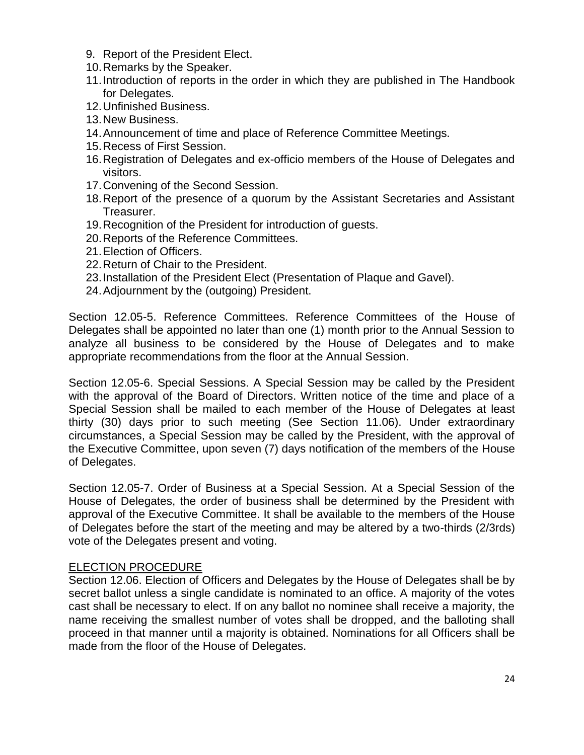- 9. Report of the President Elect.
- 10.Remarks by the Speaker.
- 11.Introduction of reports in the order in which they are published in The Handbook for Delegates.
- 12.Unfinished Business.
- 13.New Business.
- 14.Announcement of time and place of Reference Committee Meetings.
- 15.Recess of First Session.
- 16.Registration of Delegates and ex-officio members of the House of Delegates and visitors.
- 17.Convening of the Second Session.
- 18.Report of the presence of a quorum by the Assistant Secretaries and Assistant Treasurer.
- 19.Recognition of the President for introduction of guests.
- 20.Reports of the Reference Committees.
- 21.Election of Officers.
- 22.Return of Chair to the President.
- 23.Installation of the President Elect (Presentation of Plaque and Gavel).
- 24.Adjournment by the (outgoing) President.

Section 12.05-5. Reference Committees. Reference Committees of the House of Delegates shall be appointed no later than one (1) month prior to the Annual Session to analyze all business to be considered by the House of Delegates and to make appropriate recommendations from the floor at the Annual Session.

Section 12.05-6. Special Sessions. A Special Session may be called by the President with the approval of the Board of Directors. Written notice of the time and place of a Special Session shall be mailed to each member of the House of Delegates at least thirty (30) days prior to such meeting (See Section 11.06). Under extraordinary circumstances, a Special Session may be called by the President, with the approval of the Executive Committee, upon seven (7) days notification of the members of the House of Delegates.

Section 12.05-7. Order of Business at a Special Session. At a Special Session of the House of Delegates, the order of business shall be determined by the President with approval of the Executive Committee. It shall be available to the members of the House of Delegates before the start of the meeting and may be altered by a two-thirds (2/3rds) vote of the Delegates present and voting.

#### ELECTION PROCEDURE

Section 12.06. Election of Officers and Delegates by the House of Delegates shall be by secret ballot unless a single candidate is nominated to an office. A majority of the votes cast shall be necessary to elect. If on any ballot no nominee shall receive a majority, the name receiving the smallest number of votes shall be dropped, and the balloting shall proceed in that manner until a majority is obtained. Nominations for all Officers shall be made from the floor of the House of Delegates.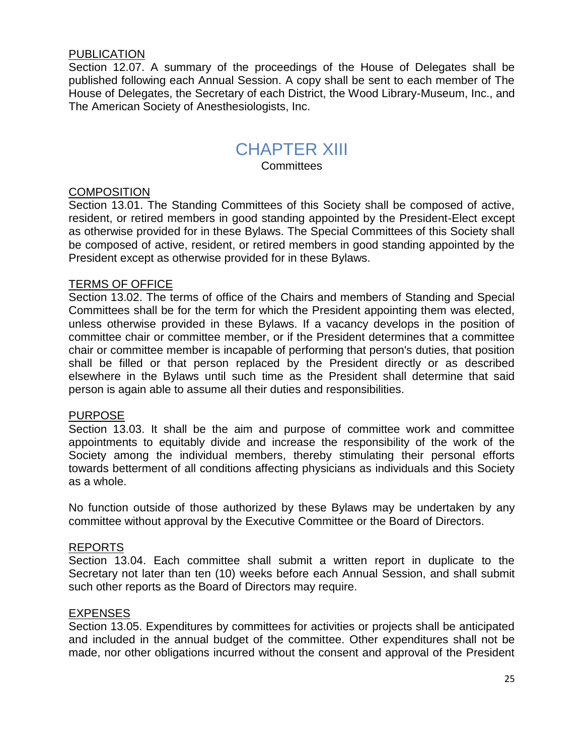#### PUBLICATION

Section 12.07. A summary of the proceedings of the House of Delegates shall be published following each Annual Session. A copy shall be sent to each member of The House of Delegates, the Secretary of each District, the Wood Library-Museum, Inc., and The American Society of Anesthesiologists, Inc.

### CHAPTER XIII

**Committees** 

#### **COMPOSITION**

Section 13.01. The Standing Committees of this Society shall be composed of active, resident, or retired members in good standing appointed by the President-Elect except as otherwise provided for in these Bylaws. The Special Committees of this Society shall be composed of active, resident, or retired members in good standing appointed by the President except as otherwise provided for in these Bylaws.

#### TERMS OF OFFICE

Section 13.02. The terms of office of the Chairs and members of Standing and Special Committees shall be for the term for which the President appointing them was elected, unless otherwise provided in these Bylaws. If a vacancy develops in the position of committee chair or committee member, or if the President determines that a committee chair or committee member is incapable of performing that person's duties, that position shall be filled or that person replaced by the President directly or as described elsewhere in the Bylaws until such time as the President shall determine that said person is again able to assume all their duties and responsibilities.

#### PURPOSE

Section 13.03. It shall be the aim and purpose of committee work and committee appointments to equitably divide and increase the responsibility of the work of the Society among the individual members, thereby stimulating their personal efforts towards betterment of all conditions affecting physicians as individuals and this Society as a whole.

No function outside of those authorized by these Bylaws may be undertaken by any committee without approval by the Executive Committee or the Board of Directors.

#### REPORTS

Section 13.04. Each committee shall submit a written report in duplicate to the Secretary not later than ten (10) weeks before each Annual Session, and shall submit such other reports as the Board of Directors may require.

#### **EXPENSES**

Section 13.05. Expenditures by committees for activities or projects shall be anticipated and included in the annual budget of the committee. Other expenditures shall not be made, nor other obligations incurred without the consent and approval of the President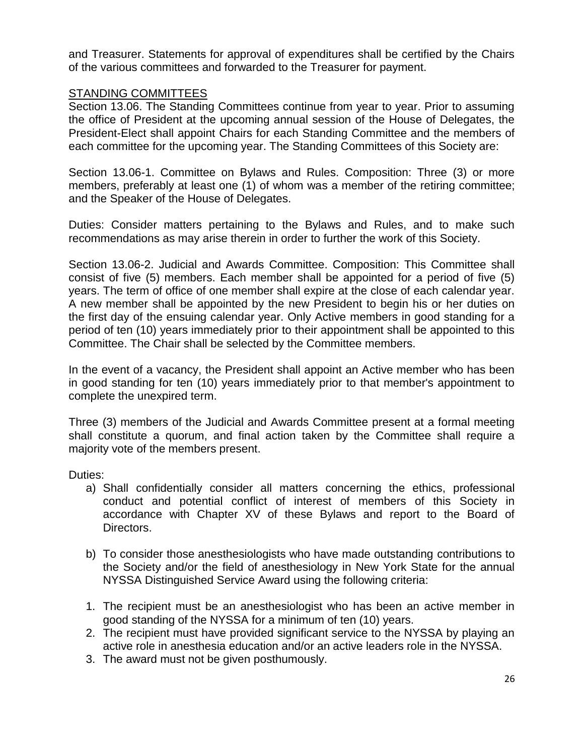and Treasurer. Statements for approval of expenditures shall be certified by the Chairs of the various committees and forwarded to the Treasurer for payment.

#### STANDING COMMITTEES

Section 13.06. The Standing Committees continue from year to year. Prior to assuming the office of President at the upcoming annual session of the House of Delegates, the President-Elect shall appoint Chairs for each Standing Committee and the members of each committee for the upcoming year. The Standing Committees of this Society are:

Section 13.06-1. Committee on Bylaws and Rules. Composition: Three (3) or more members, preferably at least one (1) of whom was a member of the retiring committee; and the Speaker of the House of Delegates.

Duties: Consider matters pertaining to the Bylaws and Rules, and to make such recommendations as may arise therein in order to further the work of this Society.

Section 13.06-2. Judicial and Awards Committee. Composition: This Committee shall consist of five (5) members. Each member shall be appointed for a period of five (5) years. The term of office of one member shall expire at the close of each calendar year. A new member shall be appointed by the new President to begin his or her duties on the first day of the ensuing calendar year. Only Active members in good standing for a period of ten (10) years immediately prior to their appointment shall be appointed to this Committee. The Chair shall be selected by the Committee members.

In the event of a vacancy, the President shall appoint an Active member who has been in good standing for ten (10) years immediately prior to that member's appointment to complete the unexpired term.

Three (3) members of the Judicial and Awards Committee present at a formal meeting shall constitute a quorum, and final action taken by the Committee shall require a majority vote of the members present.

Duties:

- a) Shall confidentially consider all matters concerning the ethics, professional conduct and potential conflict of interest of members of this Society in accordance with Chapter XV of these Bylaws and report to the Board of Directors.
- b) To consider those anesthesiologists who have made outstanding contributions to the Society and/or the field of anesthesiology in New York State for the annual NYSSA Distinguished Service Award using the following criteria:
- 1. The recipient must be an anesthesiologist who has been an active member in good standing of the NYSSA for a minimum of ten (10) years.
- 2. The recipient must have provided significant service to the NYSSA by playing an active role in anesthesia education and/or an active leaders role in the NYSSA.
- 3. The award must not be given posthumously.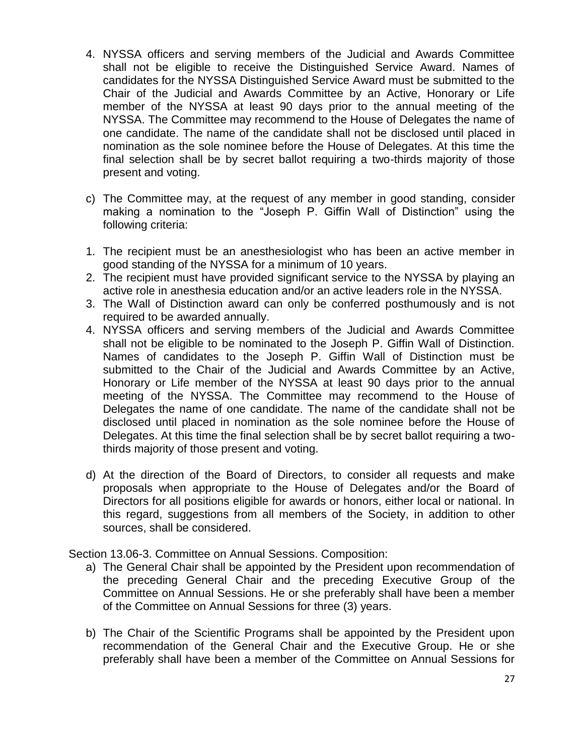- 4. NYSSA officers and serving members of the Judicial and Awards Committee shall not be eligible to receive the Distinguished Service Award. Names of candidates for the NYSSA Distinguished Service Award must be submitted to the Chair of the Judicial and Awards Committee by an Active, Honorary or Life member of the NYSSA at least 90 days prior to the annual meeting of the NYSSA. The Committee may recommend to the House of Delegates the name of one candidate. The name of the candidate shall not be disclosed until placed in nomination as the sole nominee before the House of Delegates. At this time the final selection shall be by secret ballot requiring a two-thirds majority of those present and voting.
- c) The Committee may, at the request of any member in good standing, consider making a nomination to the "Joseph P. Giffin Wall of Distinction" using the following criteria:
- 1. The recipient must be an anesthesiologist who has been an active member in good standing of the NYSSA for a minimum of 10 years.
- 2. The recipient must have provided significant service to the NYSSA by playing an active role in anesthesia education and/or an active leaders role in the NYSSA.
- 3. The Wall of Distinction award can only be conferred posthumously and is not required to be awarded annually.
- 4. NYSSA officers and serving members of the Judicial and Awards Committee shall not be eligible to be nominated to the Joseph P. Giffin Wall of Distinction. Names of candidates to the Joseph P. Giffin Wall of Distinction must be submitted to the Chair of the Judicial and Awards Committee by an Active, Honorary or Life member of the NYSSA at least 90 days prior to the annual meeting of the NYSSA. The Committee may recommend to the House of Delegates the name of one candidate. The name of the candidate shall not be disclosed until placed in nomination as the sole nominee before the House of Delegates. At this time the final selection shall be by secret ballot requiring a twothirds majority of those present and voting.
- d) At the direction of the Board of Directors, to consider all requests and make proposals when appropriate to the House of Delegates and/or the Board of Directors for all positions eligible for awards or honors, either local or national. In this regard, suggestions from all members of the Society, in addition to other sources, shall be considered.

Section 13.06-3. Committee on Annual Sessions. Composition:

- a) The General Chair shall be appointed by the President upon recommendation of the preceding General Chair and the preceding Executive Group of the Committee on Annual Sessions. He or she preferably shall have been a member of the Committee on Annual Sessions for three (3) years.
- b) The Chair of the Scientific Programs shall be appointed by the President upon recommendation of the General Chair and the Executive Group. He or she preferably shall have been a member of the Committee on Annual Sessions for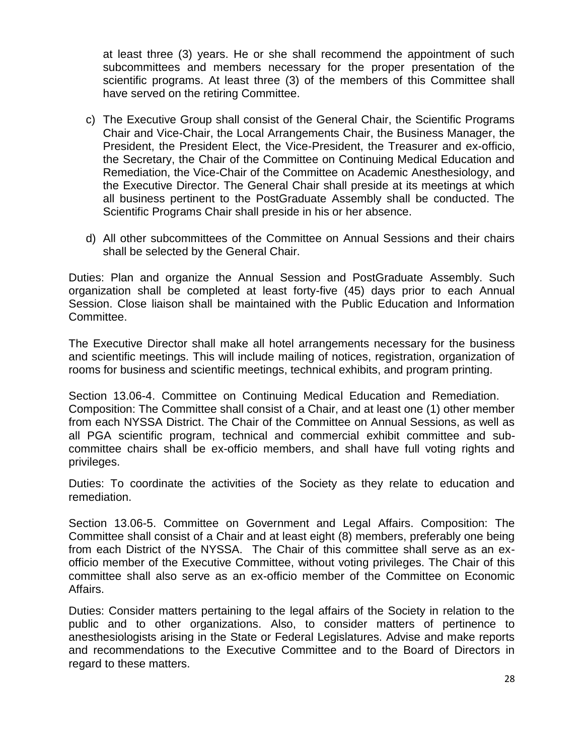at least three (3) years. He or she shall recommend the appointment of such subcommittees and members necessary for the proper presentation of the scientific programs. At least three (3) of the members of this Committee shall have served on the retiring Committee.

- c) The Executive Group shall consist of the General Chair, the Scientific Programs Chair and Vice-Chair, the Local Arrangements Chair, the Business Manager, the President, the President Elect, the Vice-President, the Treasurer and ex-officio, the Secretary, the Chair of the Committee on Continuing Medical Education and Remediation, the Vice-Chair of the Committee on Academic Anesthesiology, and the Executive Director. The General Chair shall preside at its meetings at which all business pertinent to the PostGraduate Assembly shall be conducted. The Scientific Programs Chair shall preside in his or her absence.
- d) All other subcommittees of the Committee on Annual Sessions and their chairs shall be selected by the General Chair.

Duties: Plan and organize the Annual Session and PostGraduate Assembly. Such organization shall be completed at least forty-five (45) days prior to each Annual Session. Close liaison shall be maintained with the Public Education and Information Committee.

The Executive Director shall make all hotel arrangements necessary for the business and scientific meetings. This will include mailing of notices, registration, organization of rooms for business and scientific meetings, technical exhibits, and program printing.

Section 13.06-4. Committee on Continuing Medical Education and Remediation. Composition: The Committee shall consist of a Chair, and at least one (1) other member from each NYSSA District. The Chair of the Committee on Annual Sessions, as well as all PGA scientific program, technical and commercial exhibit committee and subcommittee chairs shall be ex-officio members, and shall have full voting rights and privileges.

Duties: To coordinate the activities of the Society as they relate to education and remediation.

Section 13.06-5. Committee on Government and Legal Affairs. Composition: The Committee shall consist of a Chair and at least eight (8) members, preferably one being from each District of the NYSSA. The Chair of this committee shall serve as an exofficio member of the Executive Committee, without voting privileges. The Chair of this committee shall also serve as an ex-officio member of the Committee on Economic Affairs.

Duties: Consider matters pertaining to the legal affairs of the Society in relation to the public and to other organizations. Also, to consider matters of pertinence to anesthesiologists arising in the State or Federal Legislatures. Advise and make reports and recommendations to the Executive Committee and to the Board of Directors in regard to these matters.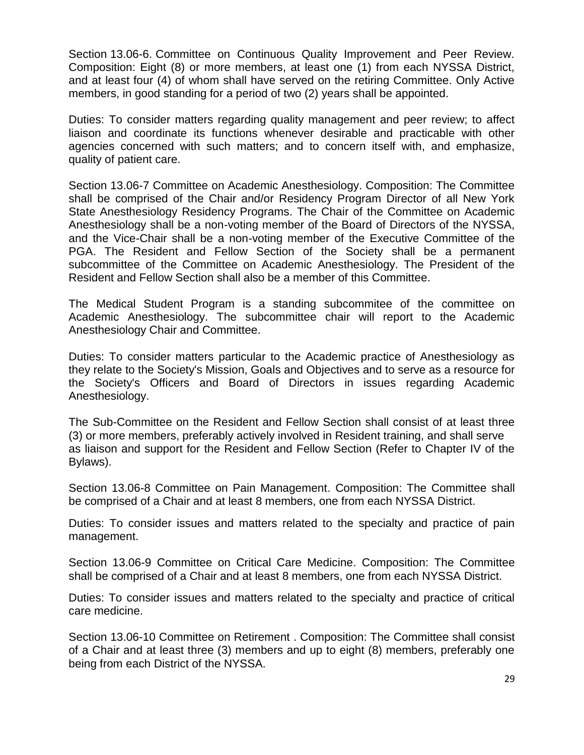Section 13.06-6. Committee on Continuous Quality Improvement and Peer Review. Composition: Eight (8) or more members, at least one (1) from each NYSSA District, and at least four (4) of whom shall have served on the retiring Committee. Only Active members, in good standing for a period of two (2) years shall be appointed.

Duties: To consider matters regarding quality management and peer review; to affect liaison and coordinate its functions whenever desirable and practicable with other agencies concerned with such matters; and to concern itself with, and emphasize, quality of patient care.

Section 13.06-7 Committee on Academic Anesthesiology. Composition: The Committee shall be comprised of the Chair and/or Residency Program Director of all New York State Anesthesiology Residency Programs. The Chair of the Committee on Academic Anesthesiology shall be a non-voting member of the Board of Directors of the NYSSA, and the Vice-Chair shall be a non-voting member of the Executive Committee of the PGA. The Resident and Fellow Section of the Society shall be a permanent subcommittee of the Committee on Academic Anesthesiology. The President of the Resident and Fellow Section shall also be a member of this Committee.

The Medical Student Program is a standing subcommitee of the committee on Academic Anesthesiology. The subcommittee chair will report to the Academic Anesthesiology Chair and Committee.

Duties: To consider matters particular to the Academic practice of Anesthesiology as they relate to the Society's Mission, Goals and Objectives and to serve as a resource for the Society's Officers and Board of Directors in issues regarding Academic Anesthesiology.

The Sub-Committee on the Resident and Fellow Section shall consist of at least three (3) or more members, preferably actively involved in Resident training, and shall serve as liaison and support for the Resident and Fellow Section (Refer to Chapter IV of the Bylaws).

Section 13.06-8 Committee on Pain Management. Composition: The Committee shall be comprised of a Chair and at least 8 members, one from each NYSSA District.

Duties: To consider issues and matters related to the specialty and practice of pain management.

Section 13.06-9 Committee on Critical Care Medicine. Composition: The Committee shall be comprised of a Chair and at least 8 members, one from each NYSSA District.

Duties: To consider issues and matters related to the specialty and practice of critical care medicine.

Section 13.06-10 Committee on Retirement . Composition: The Committee shall consist of a Chair and at least three (3) members and up to eight (8) members, preferably one being from each District of the NYSSA.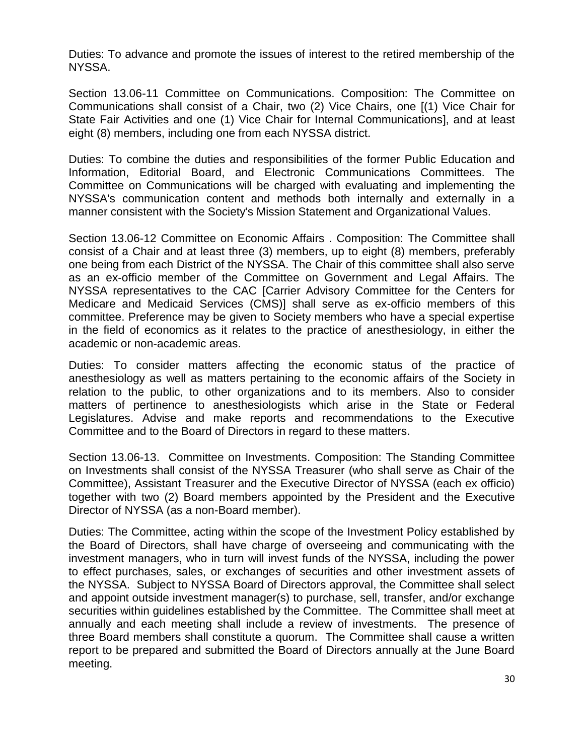Duties: To advance and promote the issues of interest to the retired membership of the NYSSA.

Section 13.06-11 Committee on Communications. Composition: The Committee on Communications shall consist of a Chair, two (2) Vice Chairs, one [(1) Vice Chair for State Fair Activities and one (1) Vice Chair for Internal Communications], and at least eight (8) members, including one from each NYSSA district.

Duties: To combine the duties and responsibilities of the former Public Education and Information, Editorial Board, and Electronic Communications Committees. The Committee on Communications will be charged with evaluating and implementing the NYSSA's communication content and methods both internally and externally in a manner consistent with the Society's Mission Statement and Organizational Values.

Section 13.06-12 Committee on Economic Affairs . Composition: The Committee shall consist of a Chair and at least three (3) members, up to eight (8) members, preferably one being from each District of the NYSSA. The Chair of this committee shall also serve as an ex-officio member of the Committee on Government and Legal Affairs. The NYSSA representatives to the CAC [Carrier Advisory Committee for the Centers for Medicare and Medicaid Services (CMS)] shall serve as ex-officio members of this committee. Preference may be given to Society members who have a special expertise in the field of economics as it relates to the practice of anesthesiology, in either the academic or non-academic areas.

Duties: To consider matters affecting the economic status of the practice of anesthesiology as well as matters pertaining to the economic affairs of the Society in relation to the public, to other organizations and to its members. Also to consider matters of pertinence to anesthesiologists which arise in the State or Federal Legislatures. Advise and make reports and recommendations to the Executive Committee and to the Board of Directors in regard to these matters.

Section 13.06-13. Committee on Investments. Composition: The Standing Committee on Investments shall consist of the NYSSA Treasurer (who shall serve as Chair of the Committee), Assistant Treasurer and the Executive Director of NYSSA (each ex officio) together with two (2) Board members appointed by the President and the Executive Director of NYSSA (as a non-Board member).

Duties: The Committee, acting within the scope of the Investment Policy established by the Board of Directors, shall have charge of overseeing and communicating with the investment managers, who in turn will invest funds of the NYSSA, including the power to effect purchases, sales, or exchanges of securities and other investment assets of the NYSSA. Subject to NYSSA Board of Directors approval, the Committee shall select and appoint outside investment manager(s) to purchase, sell, transfer, and/or exchange securities within guidelines established by the Committee. The Committee shall meet at annually and each meeting shall include a review of investments. The presence of three Board members shall constitute a quorum. The Committee shall cause a written report to be prepared and submitted the Board of Directors annually at the June Board meeting.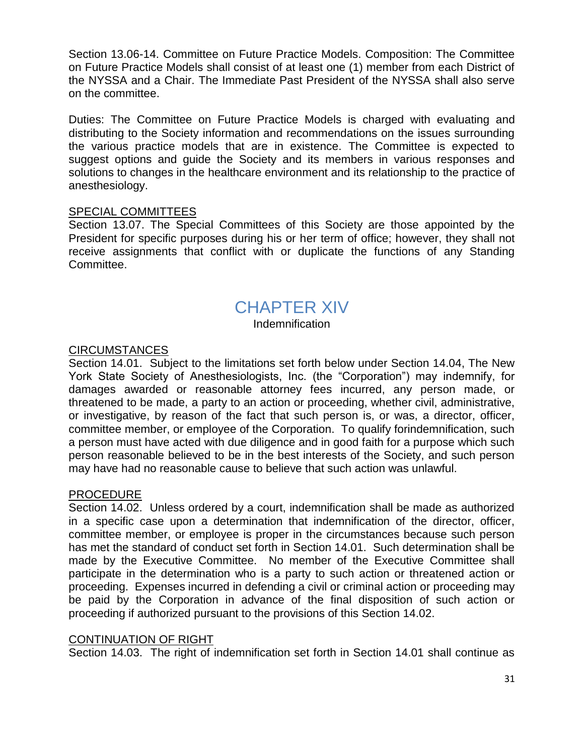Section 13.06-14. Committee on Future Practice Models. Composition: The Committee on Future Practice Models shall consist of at least one (1) member from each District of the NYSSA and a Chair. The Immediate Past President of the NYSSA shall also serve on the committee.

Duties: The Committee on Future Practice Models is charged with evaluating and distributing to the Society information and recommendations on the issues surrounding the various practice models that are in existence. The Committee is expected to suggest options and guide the Society and its members in various responses and solutions to changes in the healthcare environment and its relationship to the practice of anesthesiology.

#### SPECIAL COMMITTEES

Section 13.07. The Special Committees of this Society are those appointed by the President for specific purposes during his or her term of office; however, they shall not receive assignments that conflict with or duplicate the functions of any Standing Committee.

### CHAPTER XIV

Indemnification

#### CIRCUMSTANCES

Section 14.01. Subject to the limitations set forth below under Section 14.04, The New York State Society of Anesthesiologists, Inc. (the "Corporation") may indemnify, for damages awarded or reasonable attorney fees incurred, any person made, or threatened to be made, a party to an action or proceeding, whether civil, administrative, or investigative, by reason of the fact that such person is, or was, a director, officer, committee member, or employee of the Corporation. To qualify forindemnification, such a person must have acted with due diligence and in good faith for a purpose which such person reasonable believed to be in the best interests of the Society, and such person may have had no reasonable cause to believe that such action was unlawful.

#### PROCEDURE

Section 14.02. Unless ordered by a court, indemnification shall be made as authorized in a specific case upon a determination that indemnification of the director, officer, committee member, or employee is proper in the circumstances because such person has met the standard of conduct set forth in Section 14.01. Such determination shall be made by the Executive Committee. No member of the Executive Committee shall participate in the determination who is a party to such action or threatened action or proceeding. Expenses incurred in defending a civil or criminal action or proceeding may be paid by the Corporation in advance of the final disposition of such action or proceeding if authorized pursuant to the provisions of this Section 14.02.

#### CONTINUATION OF RIGHT

Section 14.03. The right of indemnification set forth in Section 14.01 shall continue as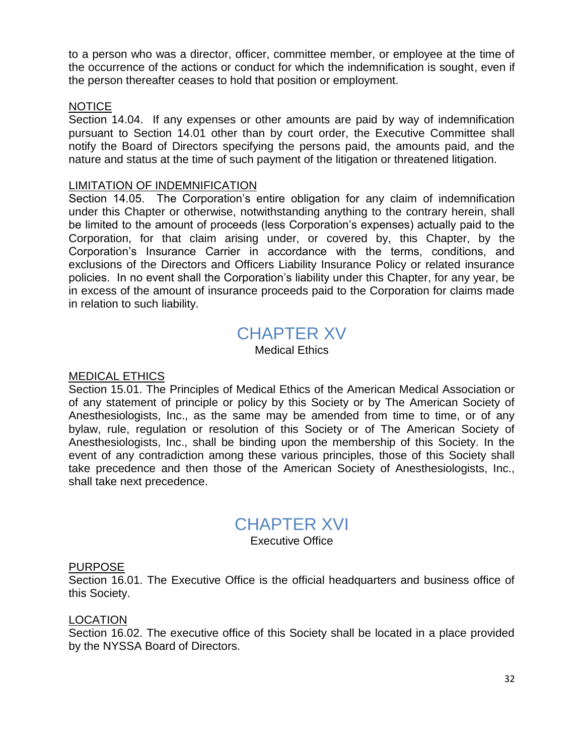to a person who was a director, officer, committee member, or employee at the time of the occurrence of the actions or conduct for which the indemnification is sought, even if the person thereafter ceases to hold that position or employment.

#### NOTICE

Section 14.04. If any expenses or other amounts are paid by way of indemnification pursuant to Section 14.01 other than by court order, the Executive Committee shall notify the Board of Directors specifying the persons paid, the amounts paid, and the nature and status at the time of such payment of the litigation or threatened litigation.

#### LIMITATION OF INDEMNIFICATION

Section 14.05. The Corporation's entire obligation for any claim of indemnification under this Chapter or otherwise, notwithstanding anything to the contrary herein, shall be limited to the amount of proceeds (less Corporation's expenses) actually paid to the Corporation, for that claim arising under, or covered by, this Chapter, by the Corporation's Insurance Carrier in accordance with the terms, conditions, and exclusions of the Directors and Officers Liability Insurance Policy or related insurance policies. In no event shall the Corporation's liability under this Chapter, for any year, be in excess of the amount of insurance proceeds paid to the Corporation for claims made in relation to such liability.

### CHAPTER XV

Medical Ethics

#### MEDICAL ETHICS

Section 15.01. The Principles of Medical Ethics of the American Medical Association or of any statement of principle or policy by this Society or by The American Society of Anesthesiologists, Inc., as the same may be amended from time to time, or of any bylaw, rule, regulation or resolution of this Society or of The American Society of Anesthesiologists, Inc., shall be binding upon the membership of this Society. In the event of any contradiction among these various principles, those of this Society shall take precedence and then those of the American Society of Anesthesiologists, Inc., shall take next precedence.

### CHAPTER XVI

Executive Office

#### PURPOSE

Section 16.01. The Executive Office is the official headquarters and business office of this Society.

#### LOCATION

Section 16.02. The executive office of this Society shall be located in a place provided by the NYSSA Board of Directors.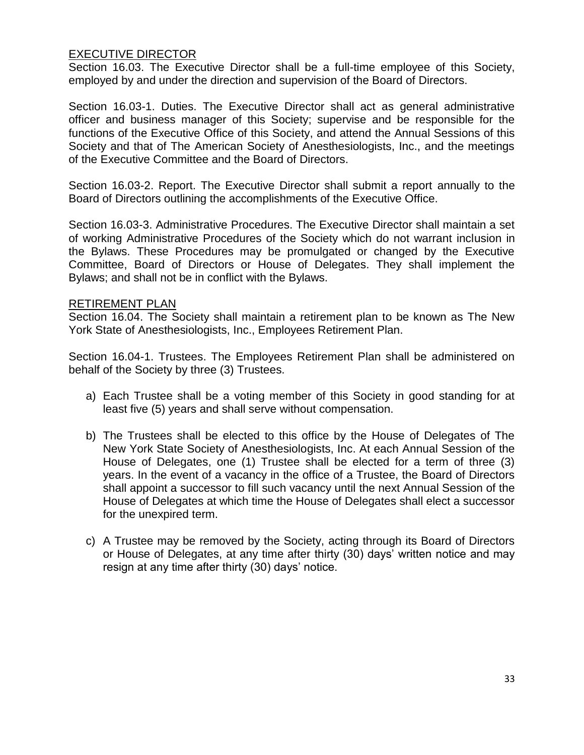#### EXECUTIVE DIRECTOR

Section 16.03. The Executive Director shall be a full-time employee of this Society, employed by and under the direction and supervision of the Board of Directors.

Section 16.03-1. Duties. The Executive Director shall act as general administrative officer and business manager of this Society; supervise and be responsible for the functions of the Executive Office of this Society, and attend the Annual Sessions of this Society and that of The American Society of Anesthesiologists, Inc., and the meetings of the Executive Committee and the Board of Directors.

Section 16.03-2. Report. The Executive Director shall submit a report annually to the Board of Directors outlining the accomplishments of the Executive Office.

Section 16.03-3. Administrative Procedures. The Executive Director shall maintain a set of working Administrative Procedures of the Society which do not warrant inclusion in the Bylaws. These Procedures may be promulgated or changed by the Executive Committee, Board of Directors or House of Delegates. They shall implement the Bylaws; and shall not be in conflict with the Bylaws.

#### RETIREMENT PLAN

Section 16.04. The Society shall maintain a retirement plan to be known as The New York State of Anesthesiologists, Inc., Employees Retirement Plan.

Section 16.04-1. Trustees. The Employees Retirement Plan shall be administered on behalf of the Society by three (3) Trustees.

- a) Each Trustee shall be a voting member of this Society in good standing for at least five (5) years and shall serve without compensation.
- b) The Trustees shall be elected to this office by the House of Delegates of The New York State Society of Anesthesiologists, Inc. At each Annual Session of the House of Delegates, one (1) Trustee shall be elected for a term of three (3) years. In the event of a vacancy in the office of a Trustee, the Board of Directors shall appoint a successor to fill such vacancy until the next Annual Session of the House of Delegates at which time the House of Delegates shall elect a successor for the unexpired term.
- c) A Trustee may be removed by the Society, acting through its Board of Directors or House of Delegates, at any time after thirty (30) days' written notice and may resign at any time after thirty (30) days' notice.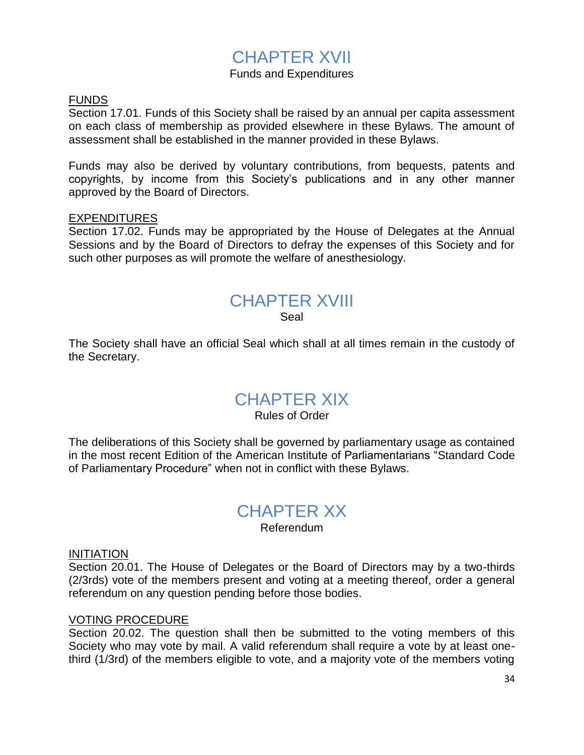### CHAPTER XVII

#### Funds and Expenditures

#### FUNDS

Section 17.01. Funds of this Society shall be raised by an annual per capita assessment on each class of membership as provided elsewhere in these Bylaws. The amount of assessment shall be established in the manner provided in these Bylaws.

Funds may also be derived by voluntary contributions, from bequests, patents and copyrights, by income from this Society's publications and in any other manner approved by the Board of Directors.

#### EXPENDITURES

Section 17.02. Funds may be appropriated by the House of Delegates at the Annual Sessions and by the Board of Directors to defray the expenses of this Society and for such other purposes as will promote the welfare of anesthesiology.

## CHAPTER XVIII

Seal

The Society shall have an official Seal which shall at all times remain in the custody of the Secretary.

### CHAPTER XIX

#### Rules of Order

The deliberations of this Society shall be governed by parliamentary usage as contained in the most recent Edition of the American Institute of Parliamentarians "Standard Code of Parliamentary Procedure" when not in conflict with these Bylaws.

### CHAPTER XX

Referendum

#### INITIATION

Section 20.01. The House of Delegates or the Board of Directors may by a two-thirds (2/3rds) vote of the members present and voting at a meeting thereof, order a general referendum on any question pending before those bodies.

#### VOTING PROCEDURE

Section 20.02. The question shall then be submitted to the voting members of this Society who may vote by mail. A valid referendum shall require a vote by at least onethird (1/3rd) of the members eligible to vote, and a majority vote of the members voting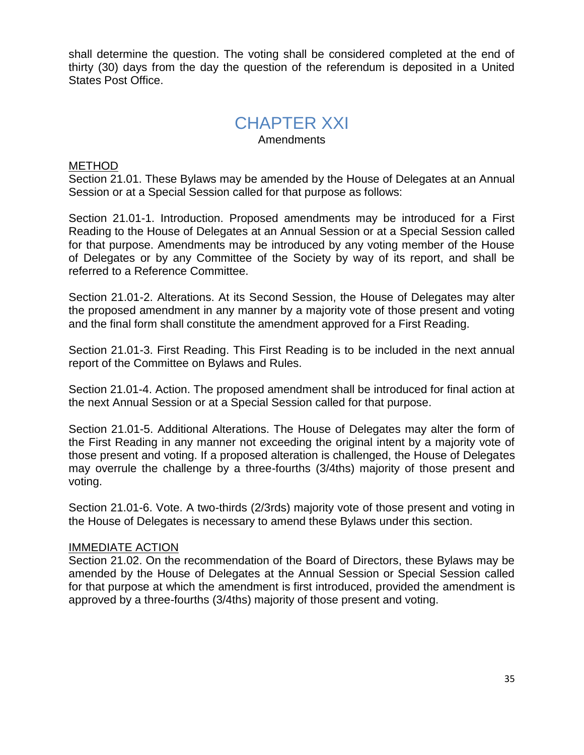shall determine the question. The voting shall be considered completed at the end of thirty (30) days from the day the question of the referendum is deposited in a United States Post Office.

### CHAPTER XXI

Amendments

#### METHOD

Section 21.01. These Bylaws may be amended by the House of Delegates at an Annual Session or at a Special Session called for that purpose as follows:

Section 21.01-1. Introduction. Proposed amendments may be introduced for a First Reading to the House of Delegates at an Annual Session or at a Special Session called for that purpose. Amendments may be introduced by any voting member of the House of Delegates or by any Committee of the Society by way of its report, and shall be referred to a Reference Committee.

Section 21.01-2. Alterations. At its Second Session, the House of Delegates may alter the proposed amendment in any manner by a majority vote of those present and voting and the final form shall constitute the amendment approved for a First Reading.

Section 21.01-3. First Reading. This First Reading is to be included in the next annual report of the Committee on Bylaws and Rules.

Section 21.01-4. Action. The proposed amendment shall be introduced for final action at the next Annual Session or at a Special Session called for that purpose.

Section 21.01-5. Additional Alterations. The House of Delegates may alter the form of the First Reading in any manner not exceeding the original intent by a majority vote of those present and voting. If a proposed alteration is challenged, the House of Delegates may overrule the challenge by a three-fourths (3/4ths) majority of those present and voting.

Section 21.01-6. Vote. A two-thirds (2/3rds) majority vote of those present and voting in the House of Delegates is necessary to amend these Bylaws under this section.

#### IMMEDIATE ACTION

Section 21.02. On the recommendation of the Board of Directors, these Bylaws may be amended by the House of Delegates at the Annual Session or Special Session called for that purpose at which the amendment is first introduced, provided the amendment is approved by a three-fourths (3/4ths) majority of those present and voting.